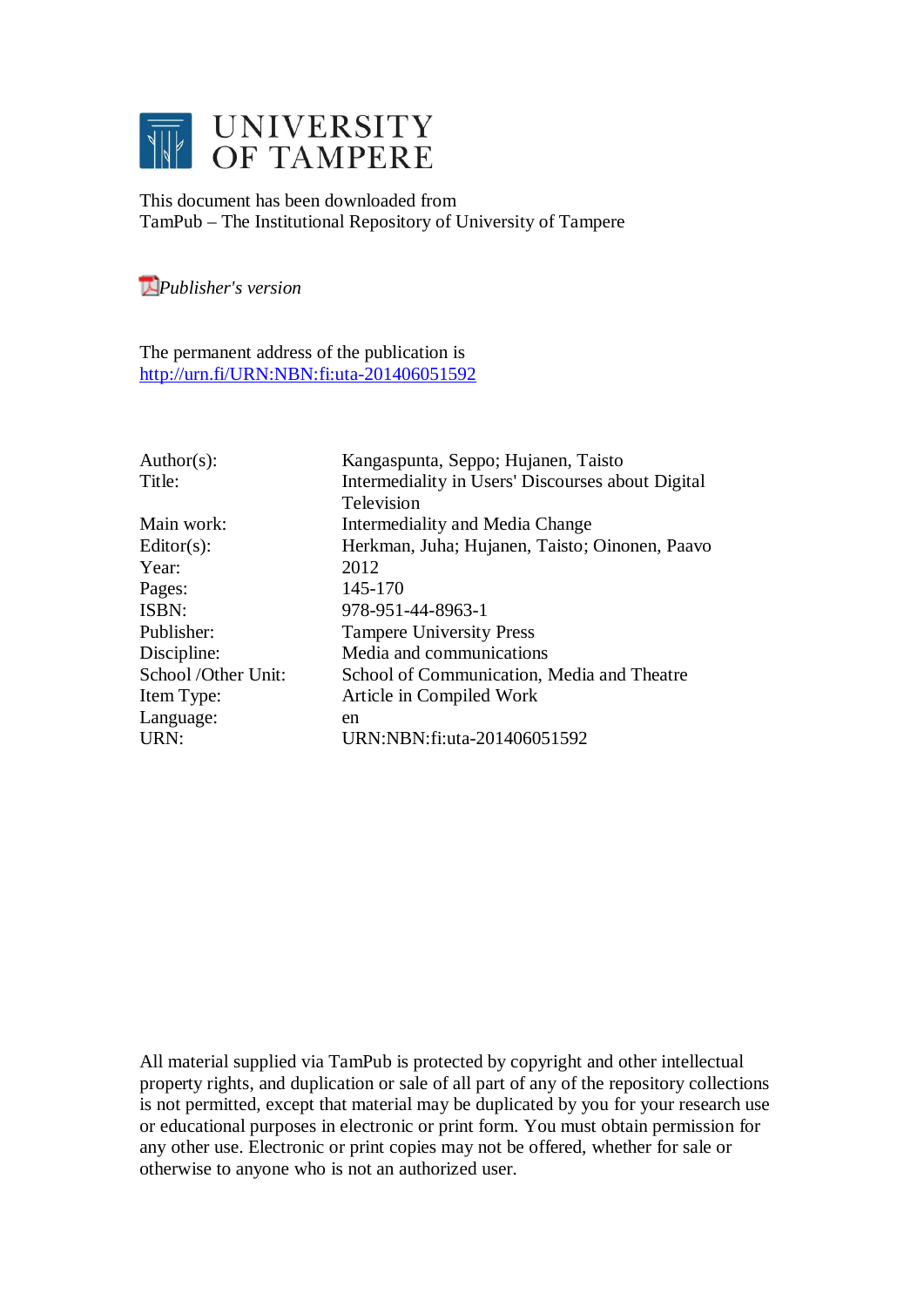

This document has been downloaded from TamPub – The Institutional Repository of University of Tampere

*[P](http://tampub.uta.fi/english/haekokoversio.php?id=1007)ublisher's version* 

The permanent address of the publication is <http://urn.fi/URN:NBN:fi:uta-201406051592>

| $Author(s)$ :       | Kangaspunta, Seppo; Hujanen, Taisto               |
|---------------------|---------------------------------------------------|
| Title:              | Intermediality in Users' Discourses about Digital |
|                     | Television                                        |
| Main work:          | Intermediality and Media Change                   |
| $Editor(s)$ :       | Herkman, Juha; Hujanen, Taisto; Oinonen, Paavo    |
| Year:               | 2012                                              |
| Pages:              | 145-170                                           |
| ISBN:               | 978-951-44-8963-1                                 |
| Publisher:          | <b>Tampere University Press</b>                   |
| Discipline:         | Media and communications                          |
| School /Other Unit: | School of Communication, Media and Theatre        |
| Item Type:          | Article in Compiled Work                          |
| Language:           | en                                                |
| URN:                | URN:NBN:fi:uta-201406051592                       |
|                     |                                                   |

All material supplied via TamPub is protected by copyright and other intellectual property rights, and duplication or sale of all part of any of the repository collections is not permitted, except that material may be duplicated by you for your research use or educational purposes in electronic or print form. You must obtain permission for any other use. Electronic or print copies may not be offered, whether for sale or otherwise to anyone who is not an authorized user.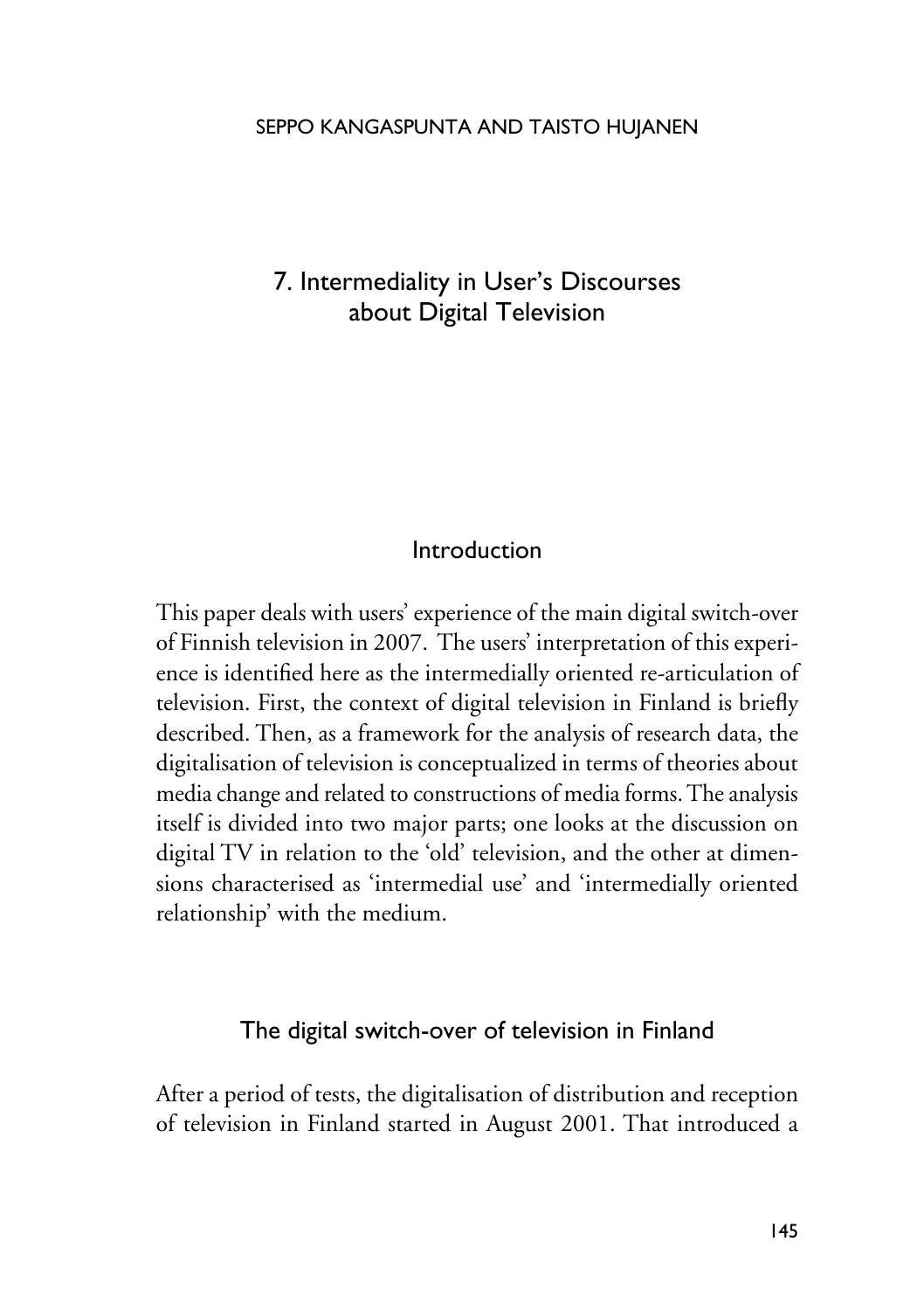# 7. Intermediality in User's Discourses about Digital Television

#### Introduction

This paper deals with users' experience of the main digital switch-over of Finnish television in 2007. The users' interpretation of this experience is identified here as the intermedially oriented re-articulation of television. First, the context of digital television in Finland is briefly described. Then, as a framework for the analysis of research data, the digitalisation of television is conceptualized in terms of theories about media change and related to constructions of media forms. The analysis itself is divided into two major parts; one looks at the discussion on digital TV in relation to the 'old' television, and the other at dimensions characterised as 'intermedial use' and 'intermedially oriented relationship' with the medium.

# The digital switch-over of television in Finland

After a period of tests, the digitalisation of distribution and reception of television in Finland started in August 2001. That introduced a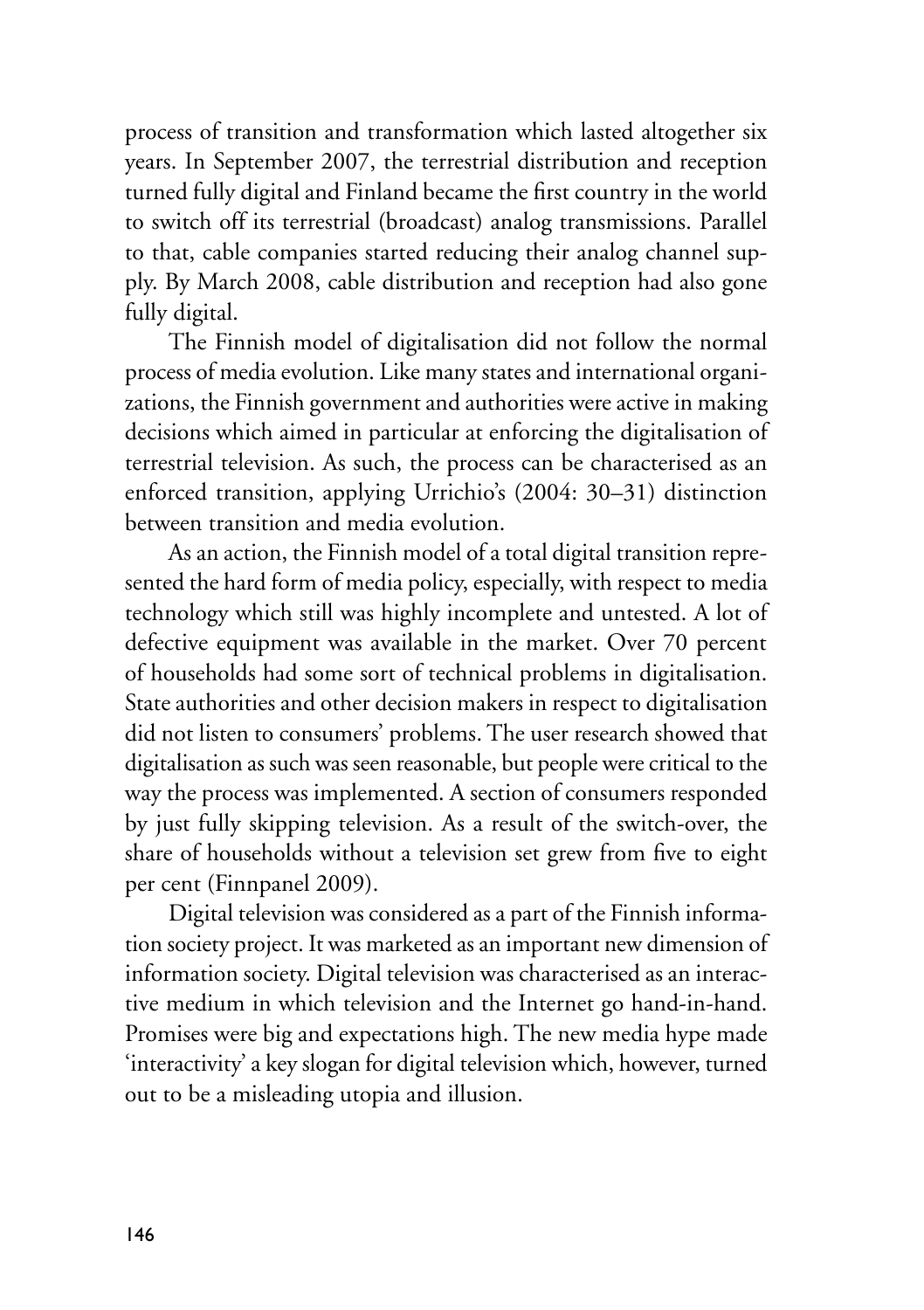process of transition and transformation which lasted altogether six years. In September 2007, the terrestrial distribution and reception turned fully digital and Finland became the first country in the world to switch off its terrestrial (broadcast) analog transmissions. Parallel to that, cable companies started reducing their analog channel supply. By March 2008, cable distribution and reception had also gone fully digital.

The Finnish model of digitalisation did not follow the normal process of media evolution. Like many states and international organizations, the Finnish government and authorities were active in making decisions which aimed in particular at enforcing the digitalisation of terrestrial television. As such, the process can be characterised as an enforced transition, applying Urrichio's (2004: 30–31) distinction between transition and media evolution.

As an action, the Finnish model of a total digital transition represented the hard form of media policy, especially, with respect to media technology which still was highly incomplete and untested. A lot of defective equipment was available in the market. Over 70 percent of households had some sort of technical problems in digitalisation. State authorities and other decision makers in respect to digitalisation did not listen to consumers' problems. The user research showed that digitalisation as such was seen reasonable, but people were critical to the way the process was implemented. A section of consumers responded by just fully skipping television. As a result of the switch-over, the share of households without a television set grew from five to eight per cent (Finnpanel 2009).

Digital television was considered as a part of the Finnish information society project. It was marketed as an important new dimension of information society. Digital television was characterised as an interactive medium in which television and the Internet go hand-in-hand. Promises were big and expectations high. The new media hype made 'interactivity' a key slogan for digital television which, however, turned out to be a misleading utopia and illusion.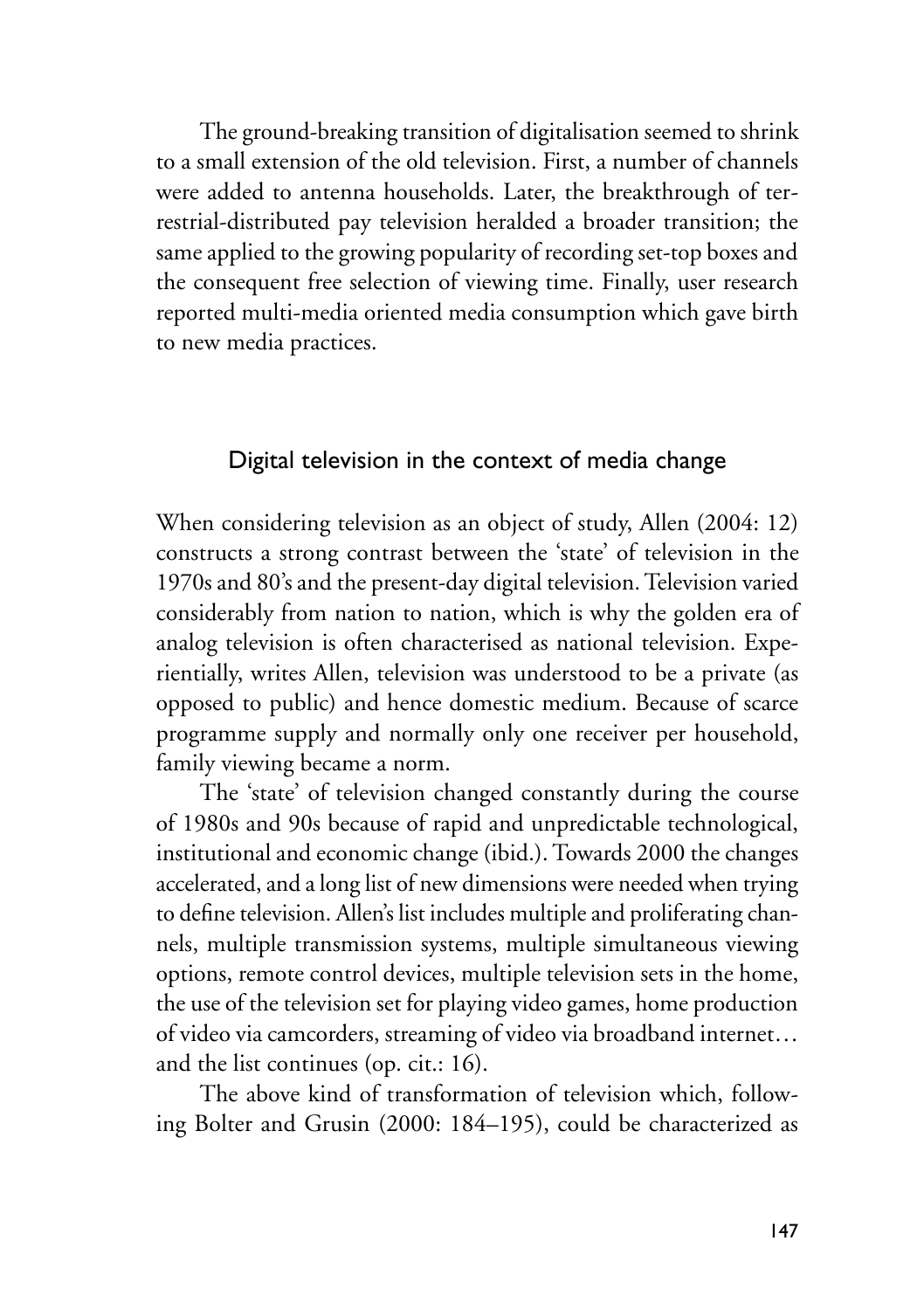The ground-breaking transition of digitalisation seemed to shrink to a small extension of the old television. First, a number of channels were added to antenna households. Later, the breakthrough of terrestrial-distributed pay television heralded a broader transition; the same applied to the growing popularity of recording set-top boxes and the consequent free selection of viewing time. Finally, user research reported multi-media oriented media consumption which gave birth to new media practices.

# Digital television in the context of media change

When considering television as an object of study, Allen (2004: 12) constructs a strong contrast between the 'state' of television in the 1970s and 80's and the present-day digital television. Television varied considerably from nation to nation, which is why the golden era of analog television is often characterised as national television. Experientially, writes Allen, television was understood to be a private (as opposed to public) and hence domestic medium. Because of scarce programme supply and normally only one receiver per household, family viewing became a norm.

The 'state' of television changed constantly during the course of 1980s and 90s because of rapid and unpredictable technological, institutional and economic change (ibid.). Towards 2000 the changes accelerated, and a long list of new dimensions were needed when trying to define television. Allen's list includes multiple and proliferating channels, multiple transmission systems, multiple simultaneous viewing options, remote control devices, multiple television sets in the home, the use of the television set for playing video games, home production of video via camcorders, streaming of video via broadband internet… and the list continues (op. cit.: 16).

The above kind of transformation of television which, following Bolter and Grusin (2000: 184–195), could be characterized as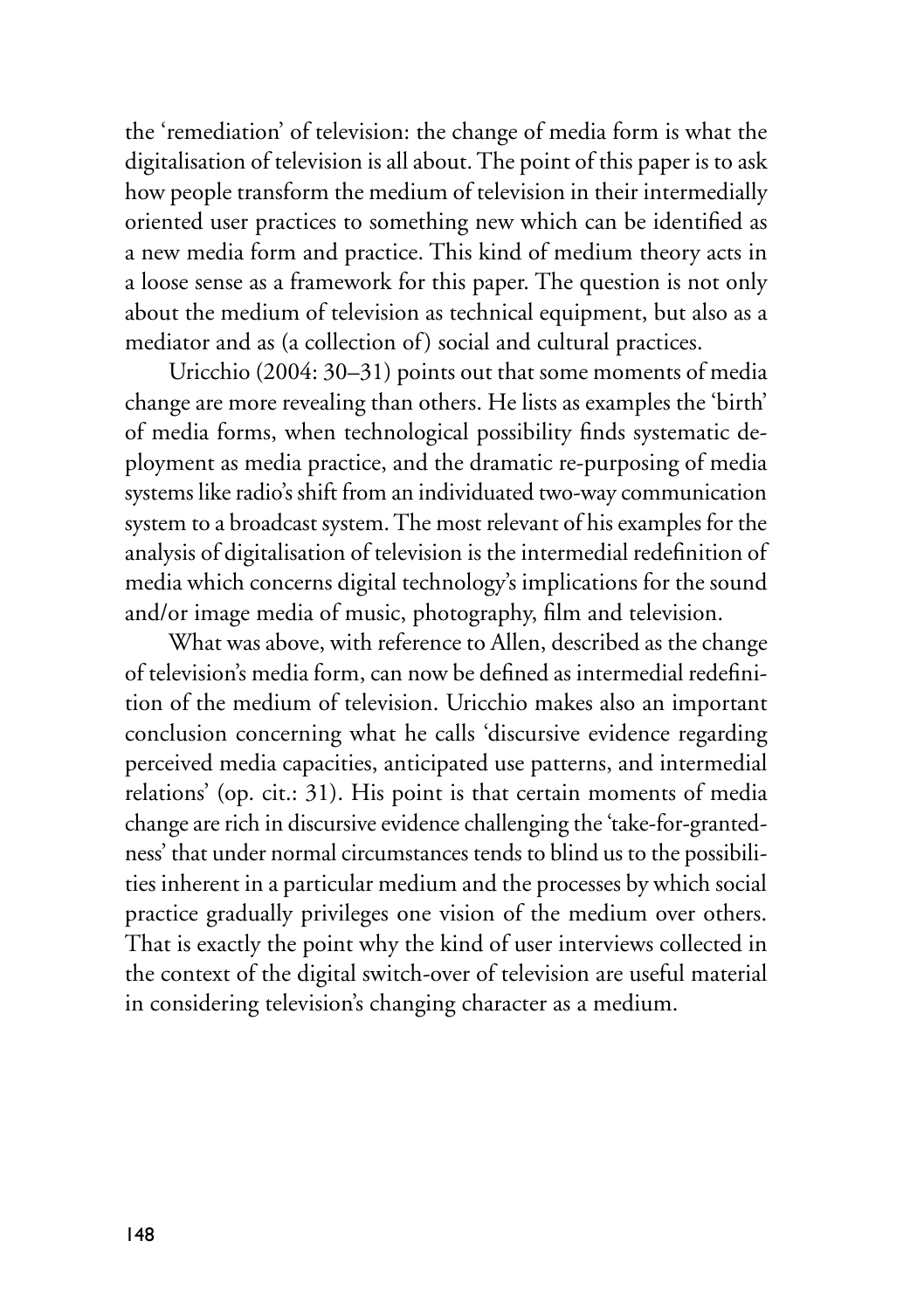the 'remediation' of television: the change of media form is what the digitalisation of television is all about. The point of this paper is to ask how people transform the medium of television in their intermedially oriented user practices to something new which can be identified as a new media form and practice. This kind of medium theory acts in a loose sense as a framework for this paper. The question is not only about the medium of television as technical equipment, but also as a mediator and as (a collection of) social and cultural practices.

Uricchio (2004: 30–31) points out that some moments of media change are more revealing than others. He lists as examples the 'birth' of media forms, when technological possibility finds systematic deployment as media practice, and the dramatic re-purposing of media systems like radio's shift from an individuated two-way communication system to a broadcast system. The most relevant of his examples for the analysis of digitalisation of television is the intermedial redefinition of media which concerns digital technology's implications for the sound and/or image media of music, photography, film and television.

What was above, with reference to Allen, described as the change of television's media form, can now be defined as intermedial redefinition of the medium of television. Uricchio makes also an important conclusion concerning what he calls 'discursive evidence regarding perceived media capacities, anticipated use patterns, and intermedial relations' (op. cit.: 31). His point is that certain moments of media change are rich in discursive evidence challenging the 'take-for-grantedness' that under normal circumstances tends to blind us to the possibilities inherent in a particular medium and the processes by which social practice gradually privileges one vision of the medium over others. That is exactly the point why the kind of user interviews collected in the context of the digital switch-over of television are useful material in considering television's changing character as a medium.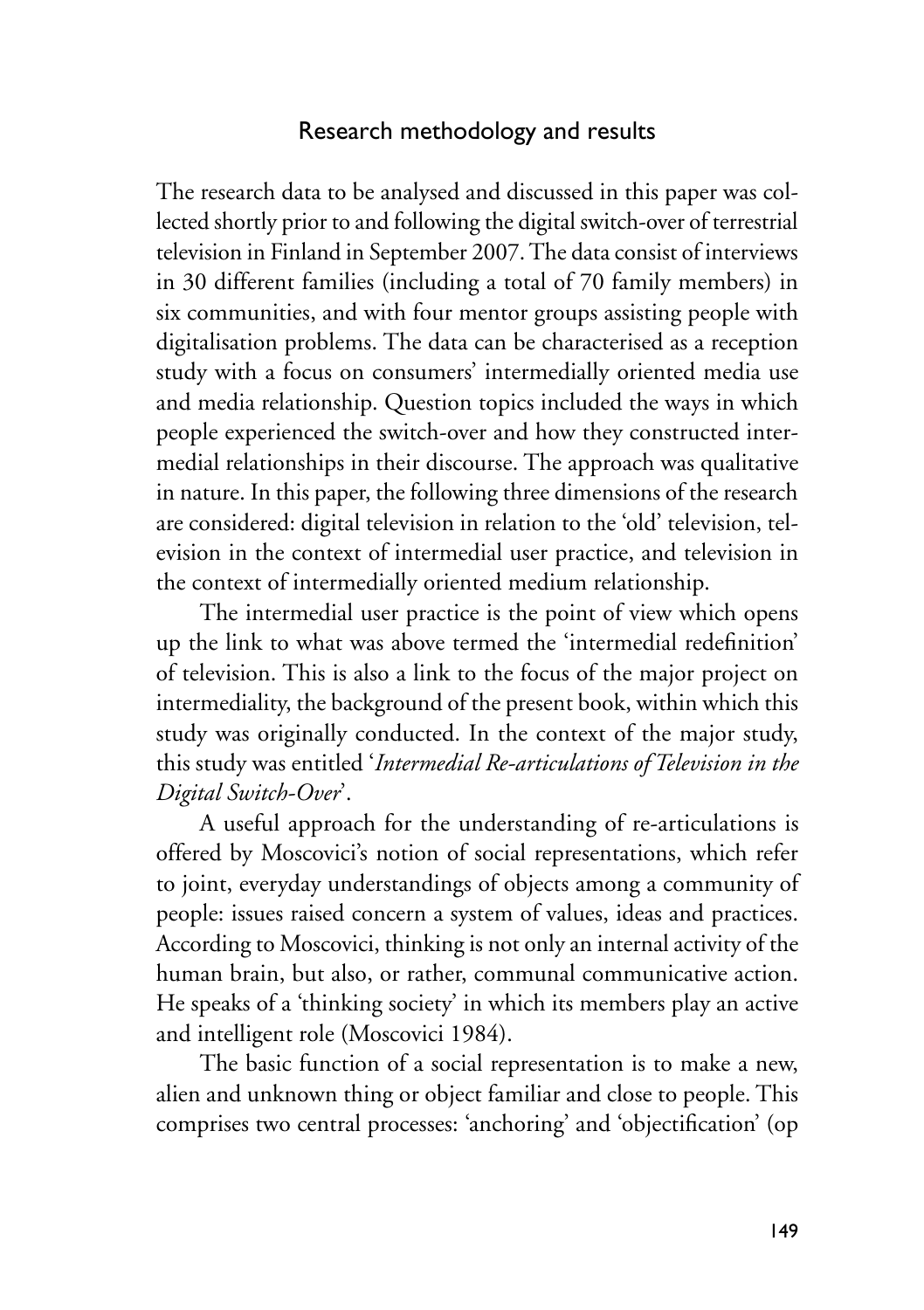# Research methodology and results

The research data to be analysed and discussed in this paper was collected shortly prior to and following the digital switch-over of terrestrial television in Finland in September 2007. The data consist of interviews in 30 different families (including a total of 70 family members) in six communities, and with four mentor groups assisting people with digitalisation problems. The data can be characterised as a reception study with a focus on consumers' intermedially oriented media use and media relationship. Question topics included the ways in which people experienced the switch-over and how they constructed intermedial relationships in their discourse. The approach was qualitative in nature. In this paper, the following three dimensions of the research are considered: digital television in relation to the 'old' television, television in the context of intermedial user practice, and television in the context of intermedially oriented medium relationship.

The intermedial user practice is the point of view which opens up the link to what was above termed the 'intermedial redefinition' of television. This is also a link to the focus of the major project on intermediality, the background of the present book, within which this study was originally conducted. In the context of the major study, this study was entitled '*Intermedial Re-articulations of Television in the Digital Switch-Over*'.

A useful approach for the understanding of re-articulations is offered by Moscovici's notion of social representations, which refer to joint, everyday understandings of objects among a community of people: issues raised concern a system of values, ideas and practices. According to Moscovici, thinking is not only an internal activity of the human brain, but also, or rather, communal communicative action. He speaks of a 'thinking society' in which its members play an active and intelligent role (Moscovici 1984).

The basic function of a social representation is to make a new, alien and unknown thing or object familiar and close to people. This comprises two central processes: 'anchoring' and 'objectification' (op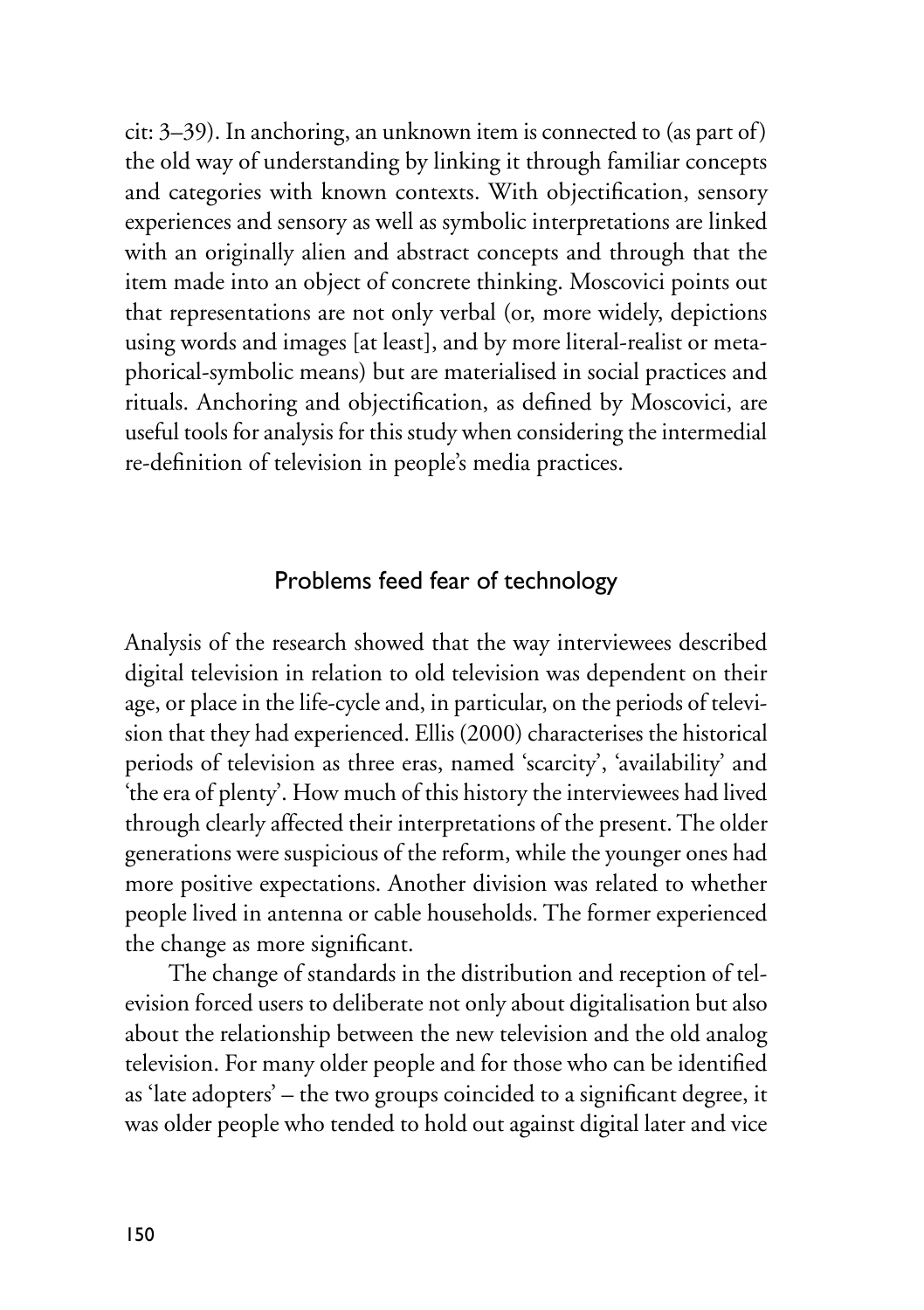cit: 3–39). In anchoring, an unknown item is connected to (as part of) the old way of understanding by linking it through familiar concepts and categories with known contexts. With objectification, sensory experiences and sensory as well as symbolic interpretations are linked with an originally alien and abstract concepts and through that the item made into an object of concrete thinking. Moscovici points out that representations are not only verbal (or, more widely, depictions using words and images [at least], and by more literal-realist or metaphorical-symbolic means) but are materialised in social practices and rituals. Anchoring and objectification, as defined by Moscovici, are useful tools for analysis for this study when considering the intermedial re-definition of television in people's media practices.

#### Problems feed fear of technology

Analysis of the research showed that the way interviewees described digital television in relation to old television was dependent on their age, or place in the life-cycle and, in particular, on the periods of television that they had experienced. Ellis (2000) characterises the historical periods of television as three eras, named 'scarcity', 'availability' and 'the era of plenty'. How much of this history the interviewees had lived through clearly affected their interpretations of the present. The older generations were suspicious of the reform, while the younger ones had more positive expectations. Another division was related to whether people lived in antenna or cable households. The former experienced the change as more significant.

The change of standards in the distribution and reception of television forced users to deliberate not only about digitalisation but also about the relationship between the new television and the old analog television. For many older people and for those who can be identified as 'late adopters' – the two groups coincided to a significant degree, it was older people who tended to hold out against digital later and vice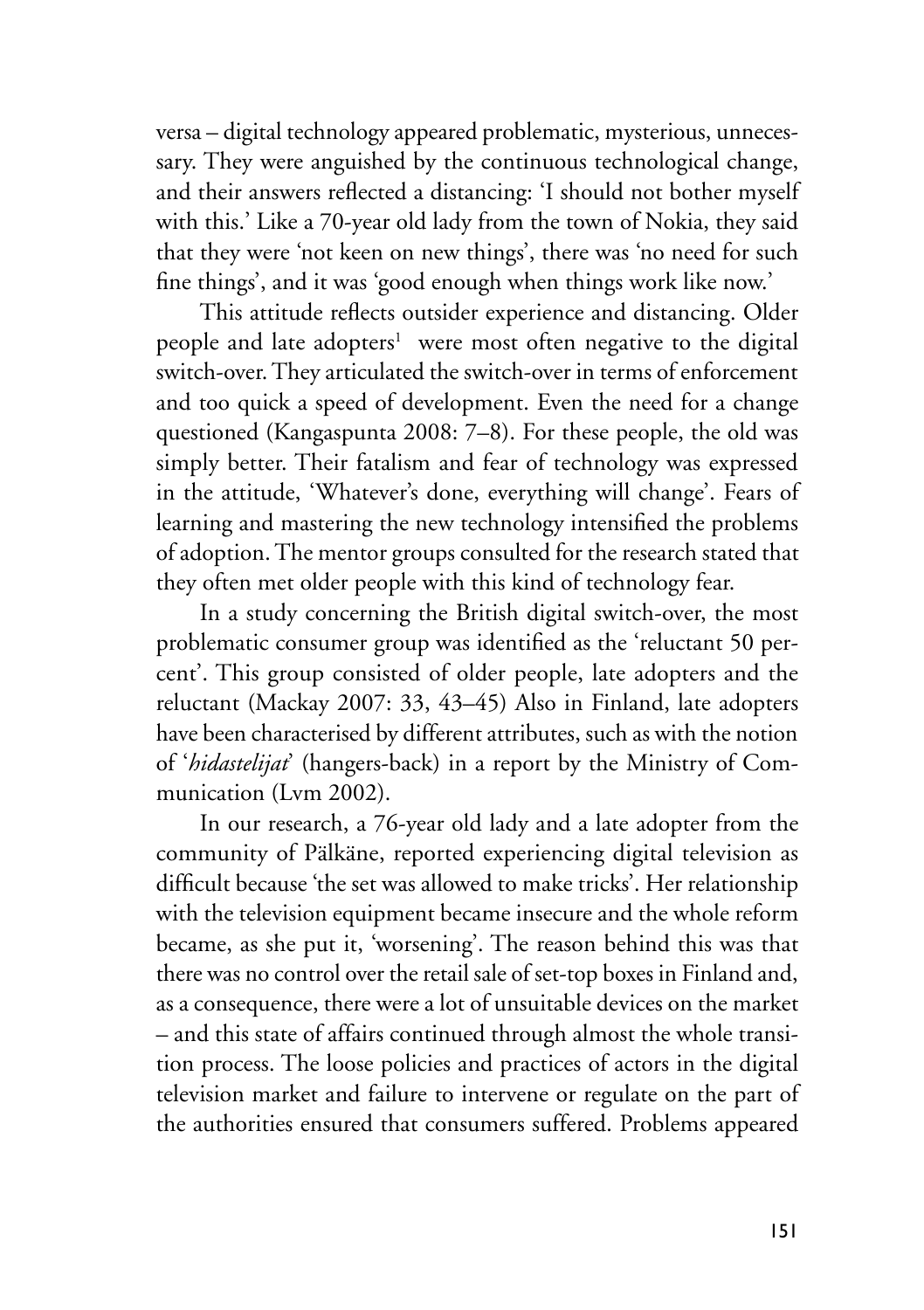versa – digital technology appeared problematic, mysterious, unnecessary. They were anguished by the continuous technological change, and their answers reflected a distancing: 'I should not bother myself with this.' Like a 70-year old lady from the town of Nokia, they said that they were 'not keen on new things', there was 'no need for such fine things', and it was 'good enough when things work like now.'

This attitude reflects outsider experience and distancing. Older people and late adopters<sup>1</sup> were most often negative to the digital switch-over. They articulated the switch-over in terms of enforcement and too quick a speed of development. Even the need for a change questioned (Kangaspunta 2008: 7–8). For these people, the old was simply better. Their fatalism and fear of technology was expressed in the attitude, 'Whatever's done, everything will change'. Fears of learning and mastering the new technology intensified the problems of adoption. The mentor groups consulted for the research stated that they often met older people with this kind of technology fear.

In a study concerning the British digital switch-over, the most problematic consumer group was identified as the 'reluctant 50 percent'. This group consisted of older people, late adopters and the reluctant (Mackay 2007: 33, 43–45) Also in Finland, late adopters have been characterised by different attributes, such as with the notion of '*hidastelijat*' (hangers-back) in a report by the Ministry of Communication (Lym 2002).

In our research, a 76-year old lady and a late adopter from the community of Pälkäne, reported experiencing digital television as difficult because 'the set was allowed to make tricks'. Her relationship with the television equipment became insecure and the whole reform became, as she put it, 'worsening'. The reason behind this was that there was no control over the retail sale of set-top boxes in Finland and, as a consequence, there were a lot of unsuitable devices on the market – and this state of affairs continued through almost the whole transition process. The loose policies and practices of actors in the digital television market and failure to intervene or regulate on the part of the authorities ensured that consumers suffered. Problems appeared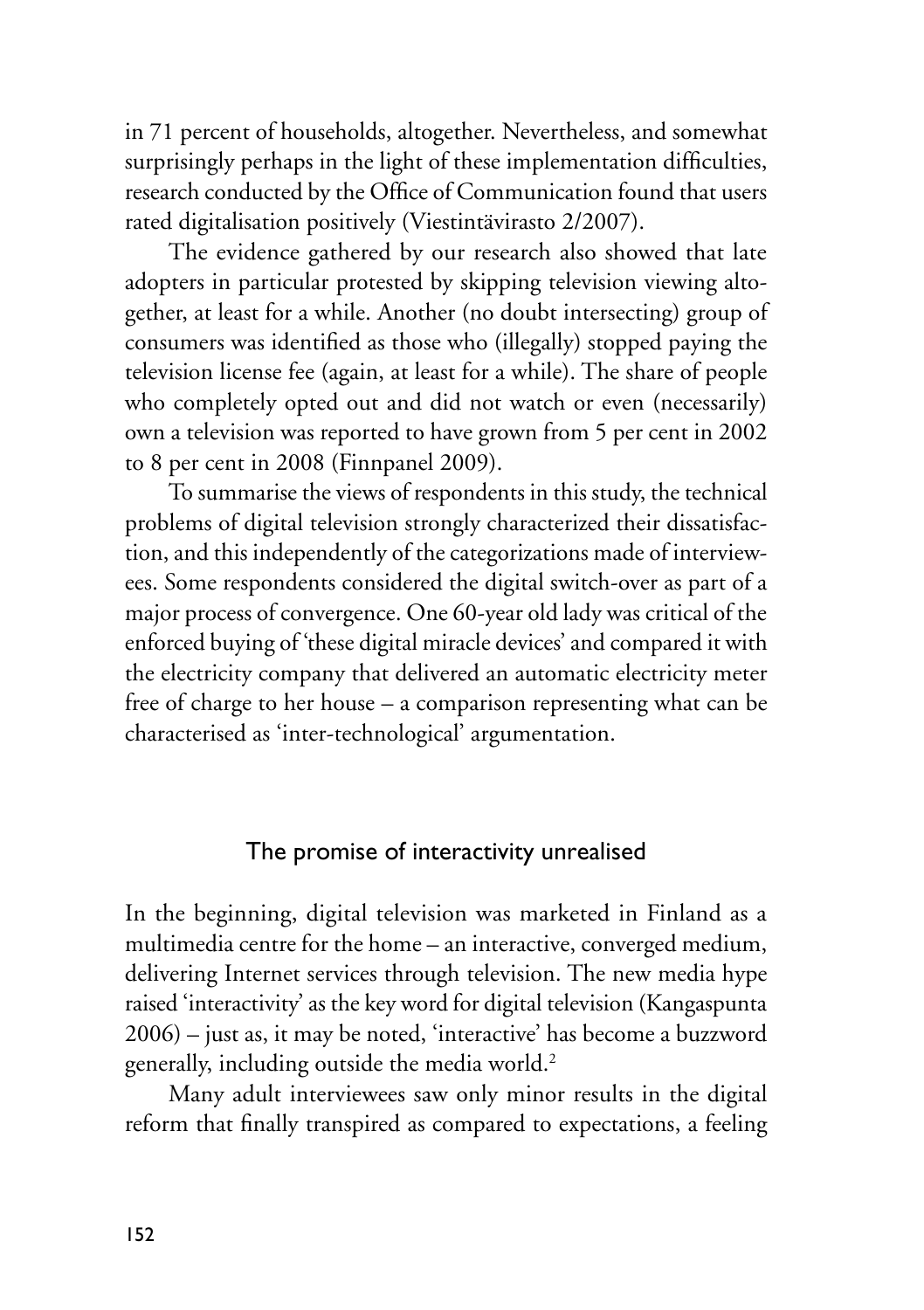in 71 percent of households, altogether. Nevertheless, and somewhat surprisingly perhaps in the light of these implementation difficulties, research conducted by the Office of Communication found that users rated digitalisation positively (Viestintävirasto 2/2007).

The evidence gathered by our research also showed that late adopters in particular protested by skipping television viewing altogether, at least for a while. Another (no doubt intersecting) group of consumers was identified as those who (illegally) stopped paying the television license fee (again, at least for a while). The share of people who completely opted out and did not watch or even (necessarily) own a television was reported to have grown from 5 per cent in 2002 to 8 per cent in 2008 (Finnpanel 2009).

To summarise the views of respondents in this study, the technical problems of digital television strongly characterized their dissatisfaction, and this independently of the categorizations made of interviewees. Some respondents considered the digital switch-over as part of a major process of convergence. One 60-year old lady was critical of the enforced buying of 'these digital miracle devices' and compared it with the electricity company that delivered an automatic electricity meter free of charge to her house – a comparison representing what can be characterised as 'inter-technological' argumentation.

# The promise of interactivity unrealised

In the beginning, digital television was marketed in Finland as a multimedia centre for the home – an interactive, converged medium, delivering Internet services through television. The new media hype raised 'interactivity' as the key word for digital television (Kangaspunta 2006) – just as, it may be noted, 'interactive' has become a buzzword generally, including outside the media world.2

Many adult interviewees saw only minor results in the digital reform that finally transpired as compared to expectations, a feeling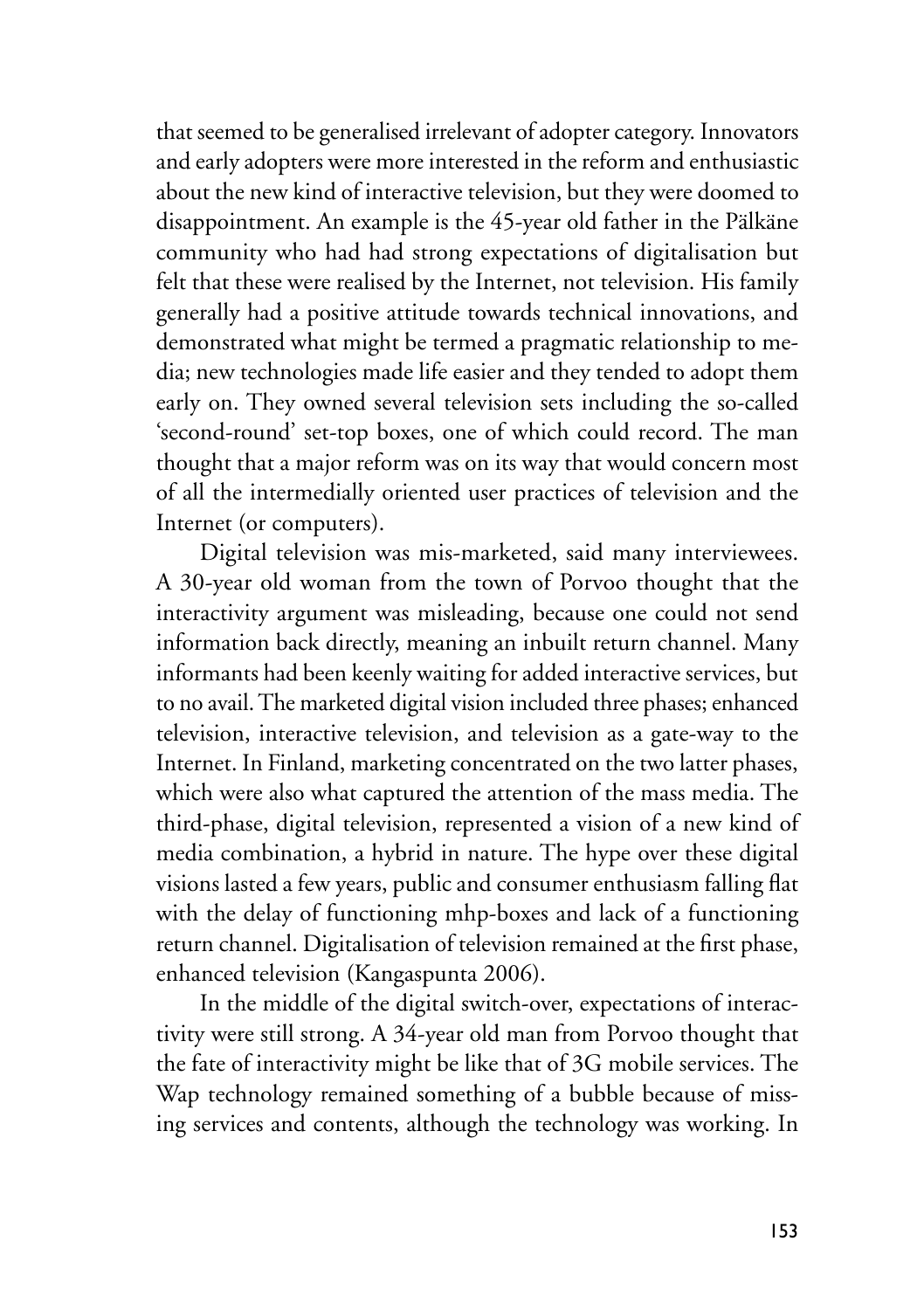that seemed to be generalised irrelevant of adopter category. Innovators and early adopters were more interested in the reform and enthusiastic about the new kind of interactive television, but they were doomed to disappointment. An example is the 45-year old father in the Pälkäne community who had had strong expectations of digitalisation but felt that these were realised by the Internet, not television. His family generally had a positive attitude towards technical innovations, and demonstrated what might be termed a pragmatic relationship to media; new technologies made life easier and they tended to adopt them early on. They owned several television sets including the so-called 'second-round' set-top boxes, one of which could record. The man thought that a major reform was on its way that would concern most of all the intermedially oriented user practices of television and the Internet (or computers).

Digital television was mis-marketed, said many interviewees. A 30-year old woman from the town of Porvoo thought that the interactivity argument was misleading, because one could not send information back directly, meaning an inbuilt return channel. Many informants had been keenly waiting for added interactive services, but to no avail. The marketed digital vision included three phases; enhanced television, interactive television, and television as a gate-way to the Internet. In Finland, marketing concentrated on the two latter phases, which were also what captured the attention of the mass media. The third-phase, digital television, represented a vision of a new kind of media combination, a hybrid in nature. The hype over these digital visions lasted a few years, public and consumer enthusiasm falling flat with the delay of functioning mhp-boxes and lack of a functioning return channel. Digitalisation of television remained at the first phase, enhanced television (Kangaspunta 2006).

In the middle of the digital switch-over, expectations of interactivity were still strong. A 34-year old man from Porvoo thought that the fate of interactivity might be like that of 3G mobile services. The Wap technology remained something of a bubble because of missing services and contents, although the technology was working. In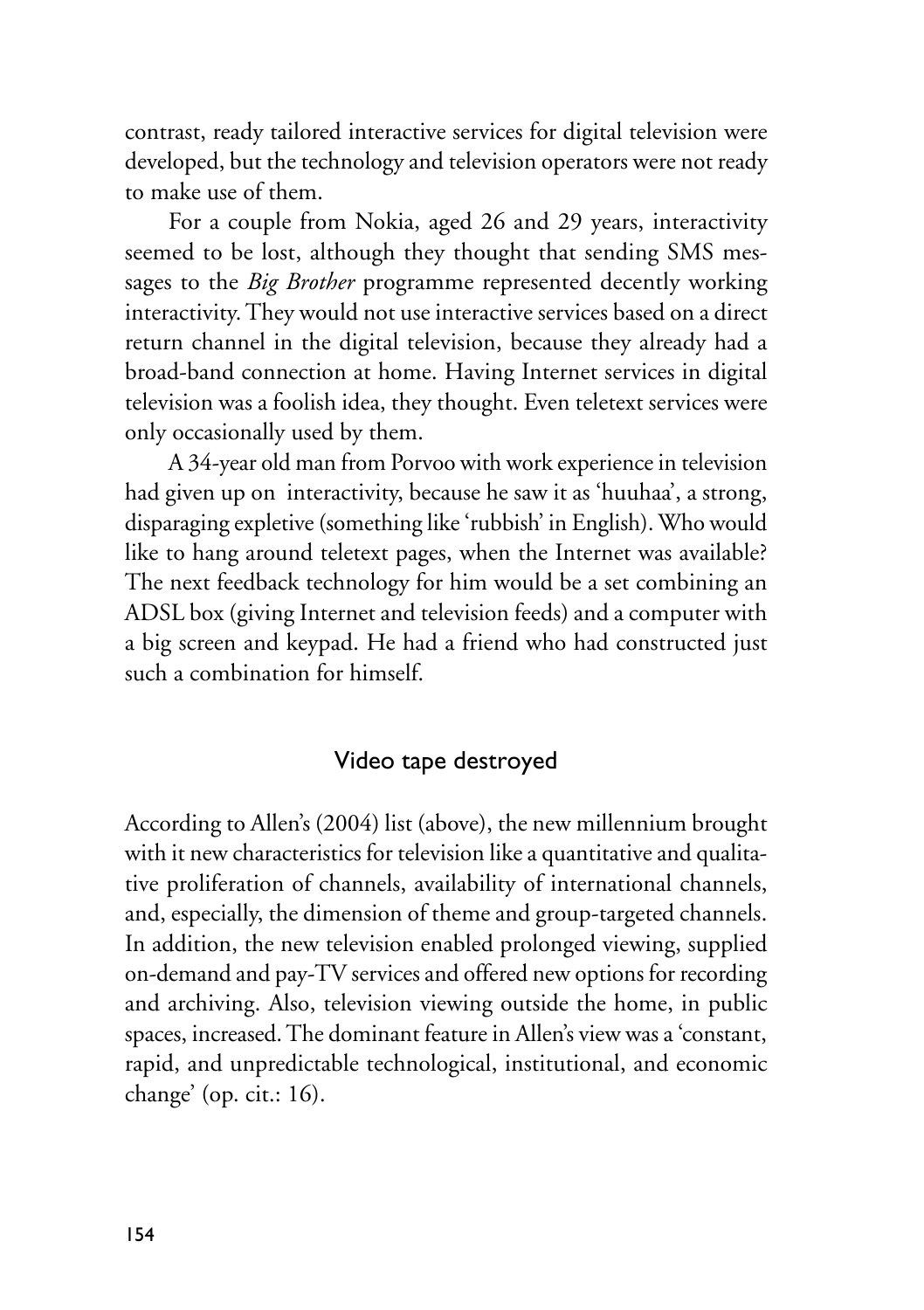contrast, ready tailored interactive services for digital television were developed, but the technology and television operators were not ready to make use of them.

For a couple from Nokia, aged 26 and 29 years, interactivity seemed to be lost, although they thought that sending SMS messages to the *Big Brother* programme represented decently working interactivity. They would not use interactive services based on a direct return channel in the digital television, because they already had a broad-band connection at home. Having Internet services in digital television was a foolish idea, they thought. Even teletext services were only occasionally used by them.

A 34-year old man from Porvoo with work experience in television had given up on interactivity, because he saw it as 'huuhaa', a strong, disparaging expletive (something like 'rubbish' in English). Who would like to hang around teletext pages, when the Internet was available? The next feedback technology for him would be a set combining an ADSL box (giving Internet and television feeds) and a computer with a big screen and keypad. He had a friend who had constructed just such a combination for himself.

# Video tape destroyed

According to Allen's (2004) list (above), the new millennium brought with it new characteristics for television like a quantitative and qualitative proliferation of channels, availability of international channels, and, especially, the dimension of theme and group-targeted channels. In addition, the new television enabled prolonged viewing, supplied on-demand and pay-TV services and offered new options for recording and archiving. Also, television viewing outside the home, in public spaces, increased. The dominant feature in Allen's view was a 'constant, rapid, and unpredictable technological, institutional, and economic change' (op. cit.: 16).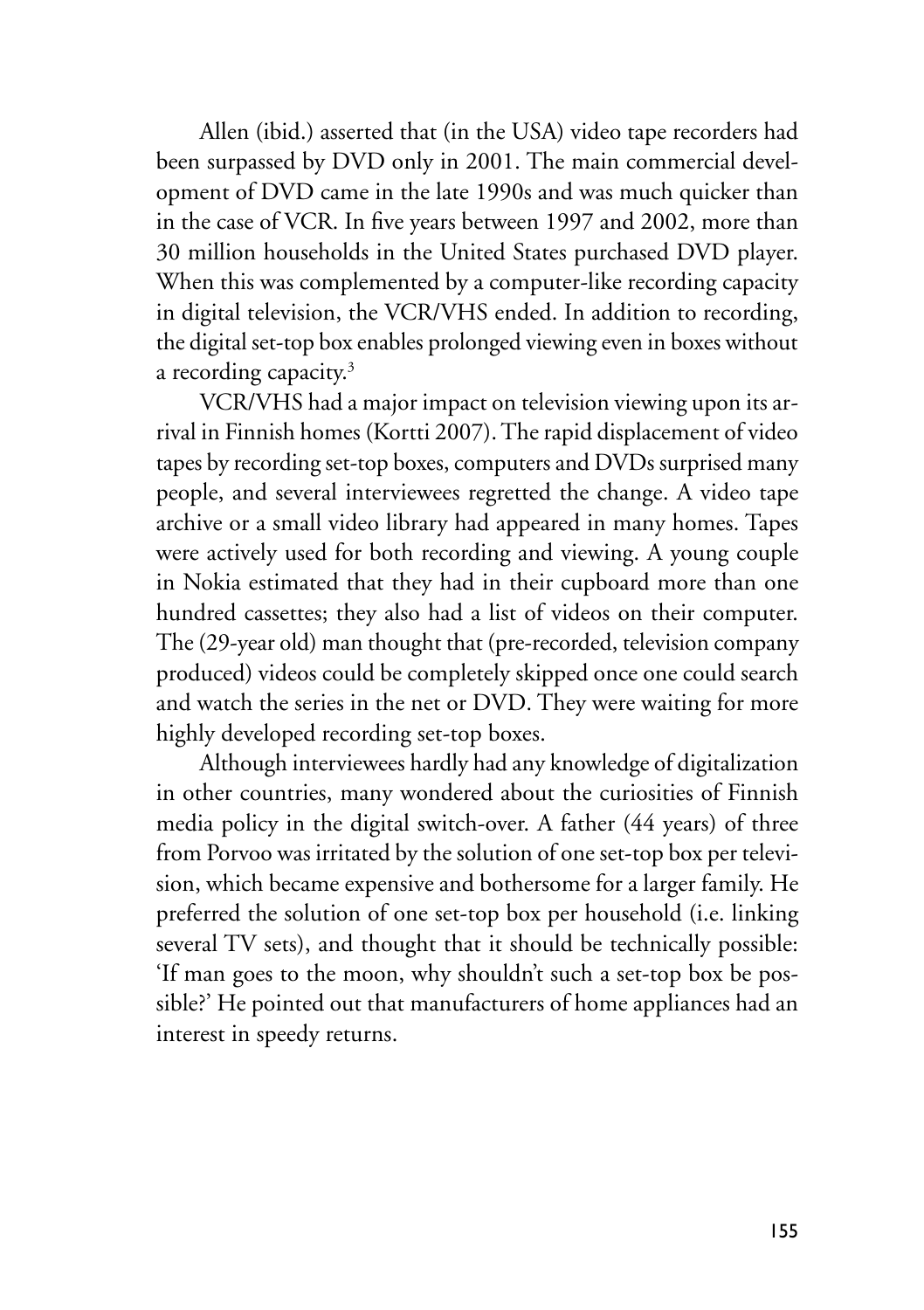Allen (ibid.) asserted that (in the USA) video tape recorders had been surpassed by DVD only in 2001. The main commercial development of DVD came in the late 1990s and was much quicker than in the case of VCR. In five years between 1997 and 2002, more than 30 million households in the United States purchased DVD player. When this was complemented by a computer-like recording capacity in digital television, the VCR/VHS ended. In addition to recording, the digital set-top box enables prolonged viewing even in boxes without a recording capacity.<sup>3</sup>

VCR/VHS had a major impact on television viewing upon its arrival in Finnish homes (Kortti 2007). The rapid displacement of video tapes by recording set-top boxes, computers and DVDs surprised many people, and several interviewees regretted the change. A video tape archive or a small video library had appeared in many homes. Tapes were actively used for both recording and viewing. A young couple in Nokia estimated that they had in their cupboard more than one hundred cassettes; they also had a list of videos on their computer. The (29-year old) man thought that (pre-recorded, television company produced) videos could be completely skipped once one could search and watch the series in the net or DVD. They were waiting for more highly developed recording set-top boxes.

Although interviewees hardly had any knowledge of digitalization in other countries, many wondered about the curiosities of Finnish media policy in the digital switch-over. A father (44 years) of three from Porvoo was irritated by the solution of one set-top box per television, which became expensive and bothersome for a larger family. He preferred the solution of one set-top box per household (i.e. linking several TV sets), and thought that it should be technically possible: 'If man goes to the moon, why shouldn't such a set-top box be possible?' He pointed out that manufacturers of home appliances had an interest in speedy returns.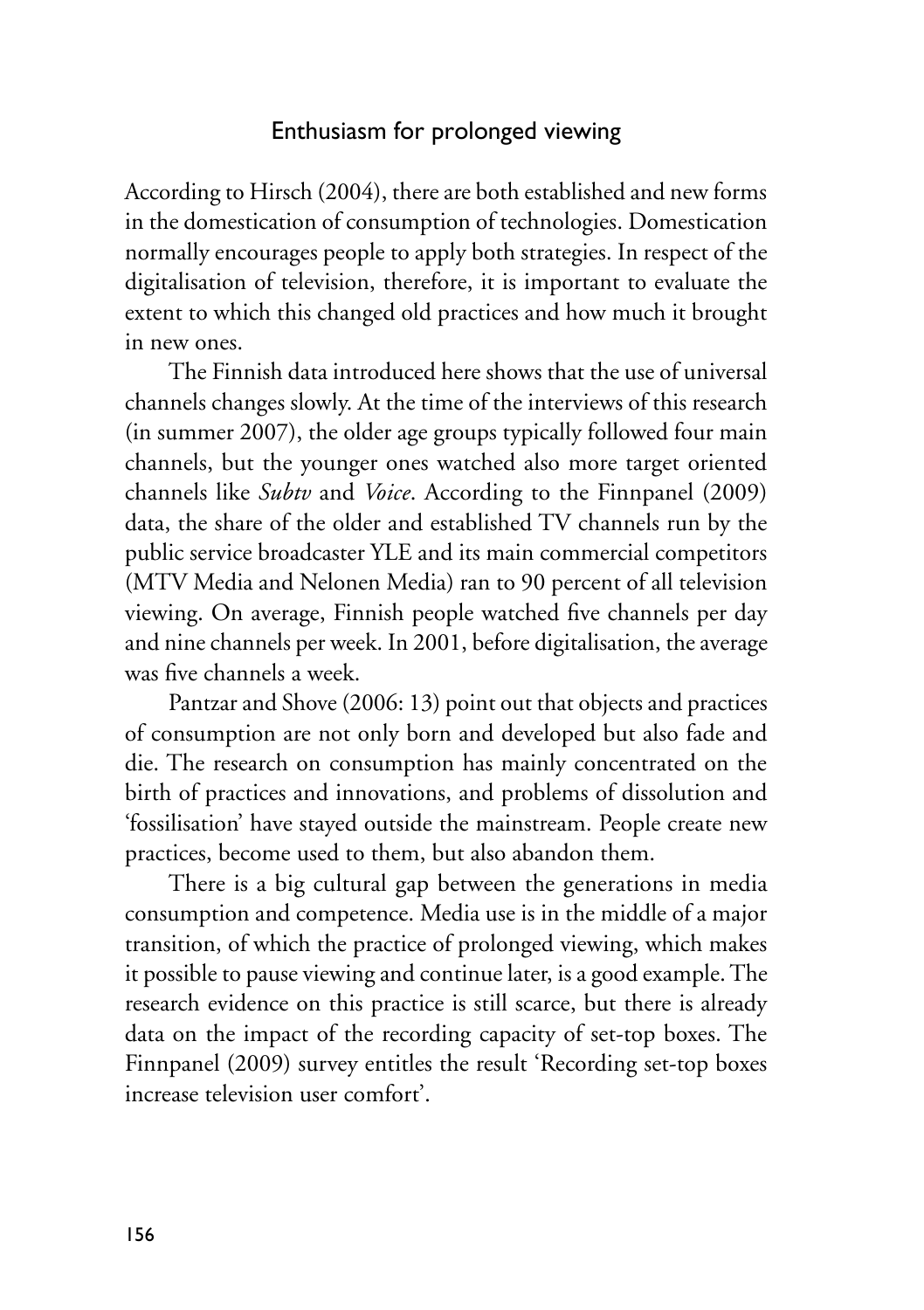# Enthusiasm for prolonged viewing

According to Hirsch (2004), there are both established and new forms in the domestication of consumption of technologies. Domestication normally encourages people to apply both strategies. In respect of the digitalisation of television, therefore, it is important to evaluate the extent to which this changed old practices and how much it brought in new ones.

The Finnish data introduced here shows that the use of universal channels changes slowly. At the time of the interviews of this research (in summer 2007), the older age groups typically followed four main channels, but the younger ones watched also more target oriented channels like *Subtv* and *Voice*. According to the Finnpanel (2009) data, the share of the older and established TV channels run by the public service broadcaster YLE and its main commercial competitors (MTV Media and Nelonen Media) ran to 90 percent of all television viewing. On average, Finnish people watched five channels per day and nine channels per week. In 2001, before digitalisation, the average was five channels a week.

Pantzar and Shove (2006: 13) point out that objects and practices of consumption are not only born and developed but also fade and die. The research on consumption has mainly concentrated on the birth of practices and innovations, and problems of dissolution and 'fossilisation' have stayed outside the mainstream. People create new practices, become used to them, but also abandon them.

There is a big cultural gap between the generations in media consumption and competence. Media use is in the middle of a major transition, of which the practice of prolonged viewing, which makes it possible to pause viewing and continue later, is a good example. The research evidence on this practice is still scarce, but there is already data on the impact of the recording capacity of set-top boxes. The Finnpanel (2009) survey entitles the result 'Recording set-top boxes increase television user comfort'.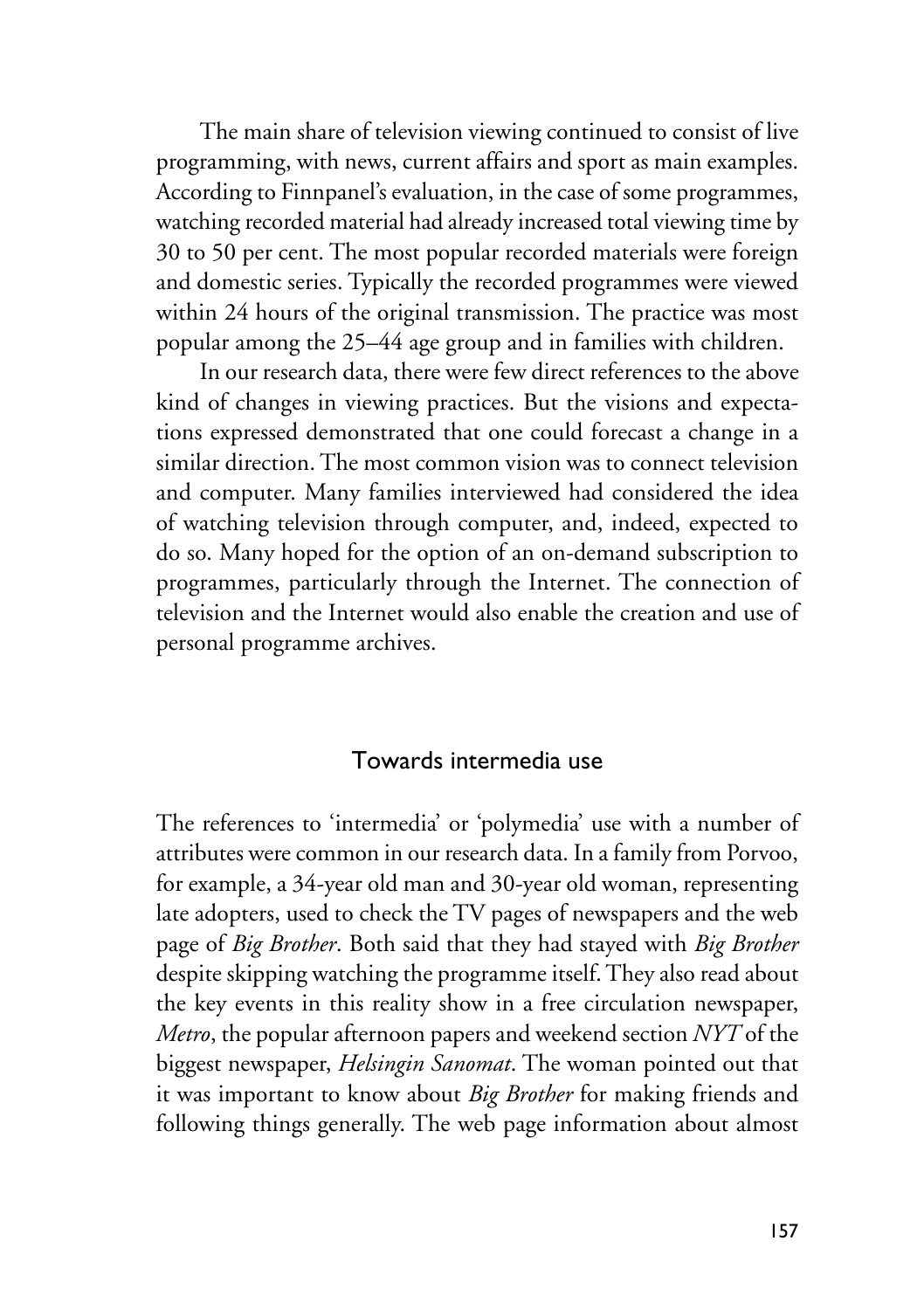The main share of television viewing continued to consist of live programming, with news, current affairs and sport as main examples. According to Finnpanel's evaluation, in the case of some programmes, watching recorded material had already increased total viewing time by 30 to 50 per cent. The most popular recorded materials were foreign and domestic series. Typically the recorded programmes were viewed within 24 hours of the original transmission. The practice was most popular among the 25–44 age group and in families with children.

In our research data, there were few direct references to the above kind of changes in viewing practices. But the visions and expectations expressed demonstrated that one could forecast a change in a similar direction. The most common vision was to connect television and computer. Many families interviewed had considered the idea of watching television through computer, and, indeed, expected to do so. Many hoped for the option of an on-demand subscription to programmes, particularly through the Internet. The connection of television and the Internet would also enable the creation and use of personal programme archives.

#### Towards intermedia use

The references to 'intermedia' or 'polymedia' use with a number of attributes were common in our research data. In a family from Porvoo, for example, a 34-year old man and 30-year old woman, representing late adopters, used to check the TV pages of newspapers and the web page of *Big Brother*. Both said that they had stayed with *Big Brother*  despite skipping watching the programme itself. They also read about the key events in this reality show in a free circulation newspaper, *Metro*, the popular afternoon papers and weekend section *NYT* of the biggest newspaper, *Helsingin Sanomat*. The woman pointed out that it was important to know about *Big Brother* for making friends and following things generally. The web page information about almost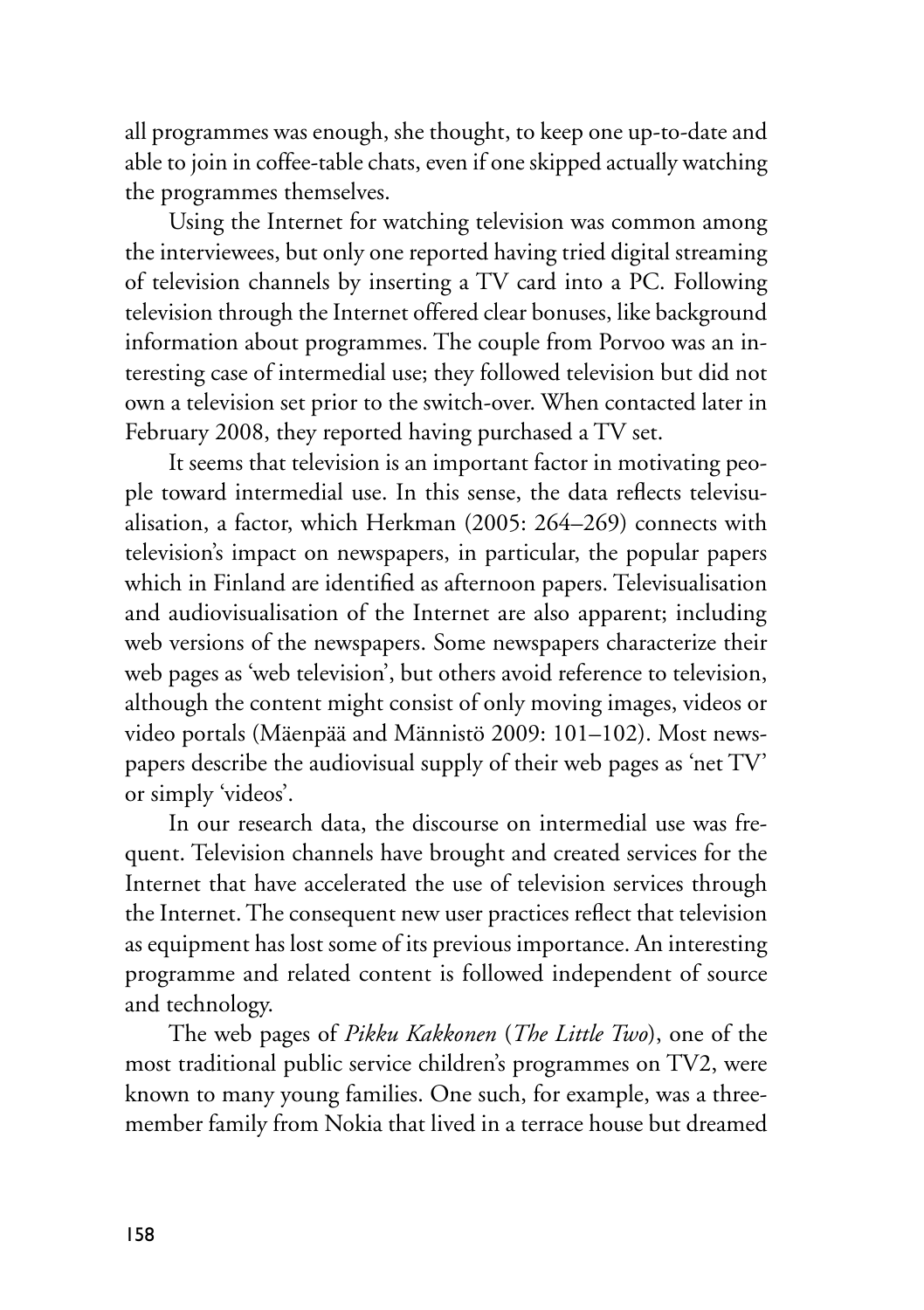all programmes was enough, she thought, to keep one up-to-date and able to join in coffee-table chats, even if one skipped actually watching the programmes themselves.

Using the Internet for watching television was common among the interviewees, but only one reported having tried digital streaming of television channels by inserting a TV card into a PC. Following television through the Internet offered clear bonuses, like background information about programmes. The couple from Porvoo was an interesting case of intermedial use; they followed television but did not own a television set prior to the switch-over. When contacted later in February 2008, they reported having purchased a TV set.

It seems that television is an important factor in motivating people toward intermedial use. In this sense, the data reflects televisualisation, a factor, which Herkman (2005: 264–269) connects with television's impact on newspapers, in particular, the popular papers which in Finland are identified as afternoon papers. Televisualisation and audiovisualisation of the Internet are also apparent; including web versions of the newspapers. Some newspapers characterize their web pages as 'web television', but others avoid reference to television, although the content might consist of only moving images, videos or video portals (Mäenpää and Männistö 2009: 101–102). Most newspapers describe the audiovisual supply of their web pages as 'net TV' or simply 'videos'.

In our research data, the discourse on intermedial use was frequent. Television channels have brought and created services for the Internet that have accelerated the use of television services through the Internet. The consequent new user practices reflect that television as equipment has lost some of its previous importance. An interesting programme and related content is followed independent of source and technology.

The web pages of *Pikku Kakkonen* (*The Little Two*), one of the most traditional public service children's programmes on TV2, were known to many young families. One such, for example, was a threemember family from Nokia that lived in a terrace house but dreamed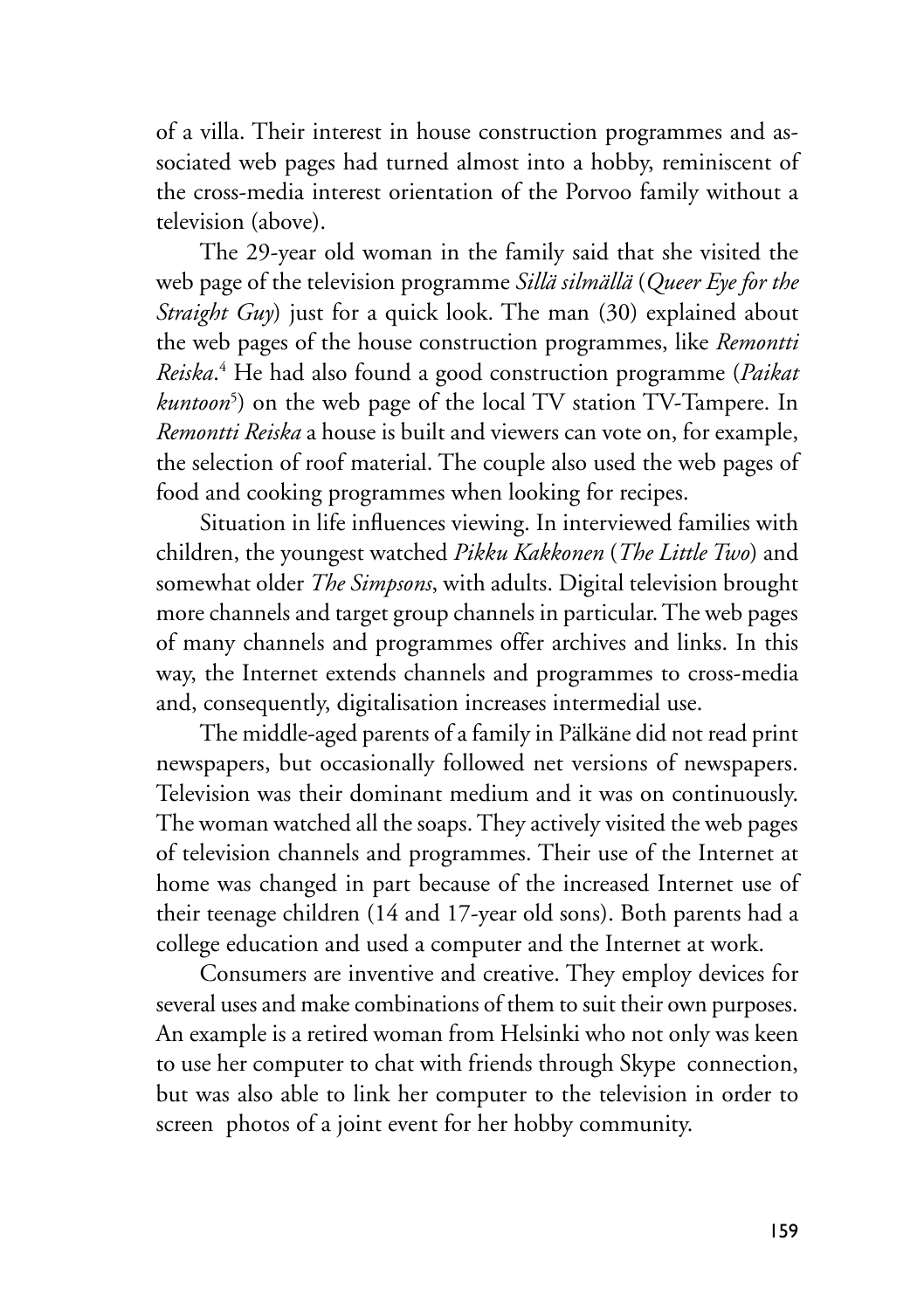of a villa. Their interest in house construction programmes and associated web pages had turned almost into a hobby, reminiscent of the cross-media interest orientation of the Porvoo family without a television (above).

The 29-year old woman in the family said that she visited the web page of the television programme *Sillä silmällä* (*Queer Eye for the Straight Guy*) just for a quick look. The man (30) explained about the web pages of the house construction programmes, like *Remontti Reiska*. 4 He had also found a good construction programme (*Paikat kuntoon*<sup>5</sup> ) on the web page of the local TV station TV-Tampere. In *Remontti Reiska* a house is built and viewers can vote on, for example, the selection of roof material. The couple also used the web pages of food and cooking programmes when looking for recipes.

Situation in life influences viewing. In interviewed families with children, the youngest watched *Pikku Kakkonen* (*The Little Two*) and somewhat older *The Simpsons*, with adults. Digital television brought more channels and target group channels in particular. The web pages of many channels and programmes offer archives and links. In this way, the Internet extends channels and programmes to cross-media and, consequently, digitalisation increases intermedial use.

The middle-aged parents of a family in Pälkäne did not read print newspapers, but occasionally followed net versions of newspapers. Television was their dominant medium and it was on continuously. The woman watched all the soaps. They actively visited the web pages of television channels and programmes. Their use of the Internet at home was changed in part because of the increased Internet use of their teenage children (14 and 17-year old sons). Both parents had a college education and used a computer and the Internet at work.

Consumers are inventive and creative. They employ devices for several uses and make combinations of them to suit their own purposes. An example is a retired woman from Helsinki who not only was keen to use her computer to chat with friends through Skype connection, but was also able to link her computer to the television in order to screen photos of a joint event for her hobby community.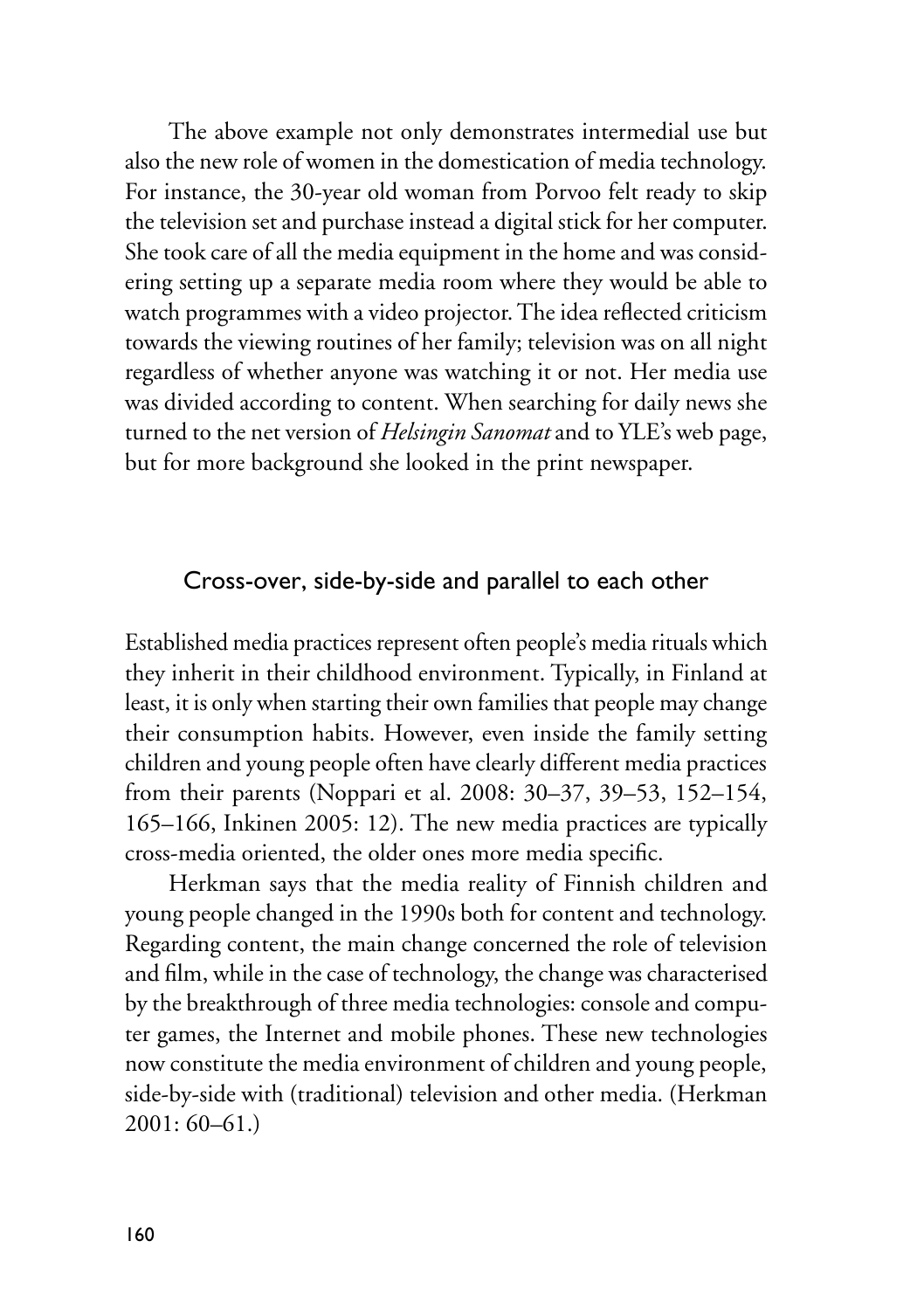The above example not only demonstrates intermedial use but also the new role of women in the domestication of media technology. For instance, the 30-year old woman from Porvoo felt ready to skip the television set and purchase instead a digital stick for her computer. She took care of all the media equipment in the home and was considering setting up a separate media room where they would be able to watch programmes with a video projector. The idea reflected criticism towards the viewing routines of her family; television was on all night regardless of whether anyone was watching it or not. Her media use was divided according to content. When searching for daily news she turned to the net version of *Helsingin Sanomat* and to YLE's web page, but for more background she looked in the print newspaper.

#### Cross-over, side-by-side and parallel to each other

Established media practices represent often people's media rituals which they inherit in their childhood environment. Typically, in Finland at least, it is only when starting their own families that people may change their consumption habits. However, even inside the family setting children and young people often have clearly different media practices from their parents (Noppari et al. 2008: 30–37, 39–53, 152–154, 165–166, Inkinen 2005: 12). The new media practices are typically cross-media oriented, the older ones more media specific.

Herkman says that the media reality of Finnish children and young people changed in the 1990s both for content and technology. Regarding content, the main change concerned the role of television and film, while in the case of technology, the change was characterised by the breakthrough of three media technologies: console and computer games, the Internet and mobile phones. These new technologies now constitute the media environment of children and young people, side-by-side with (traditional) television and other media. (Herkman 2001: 60–61.)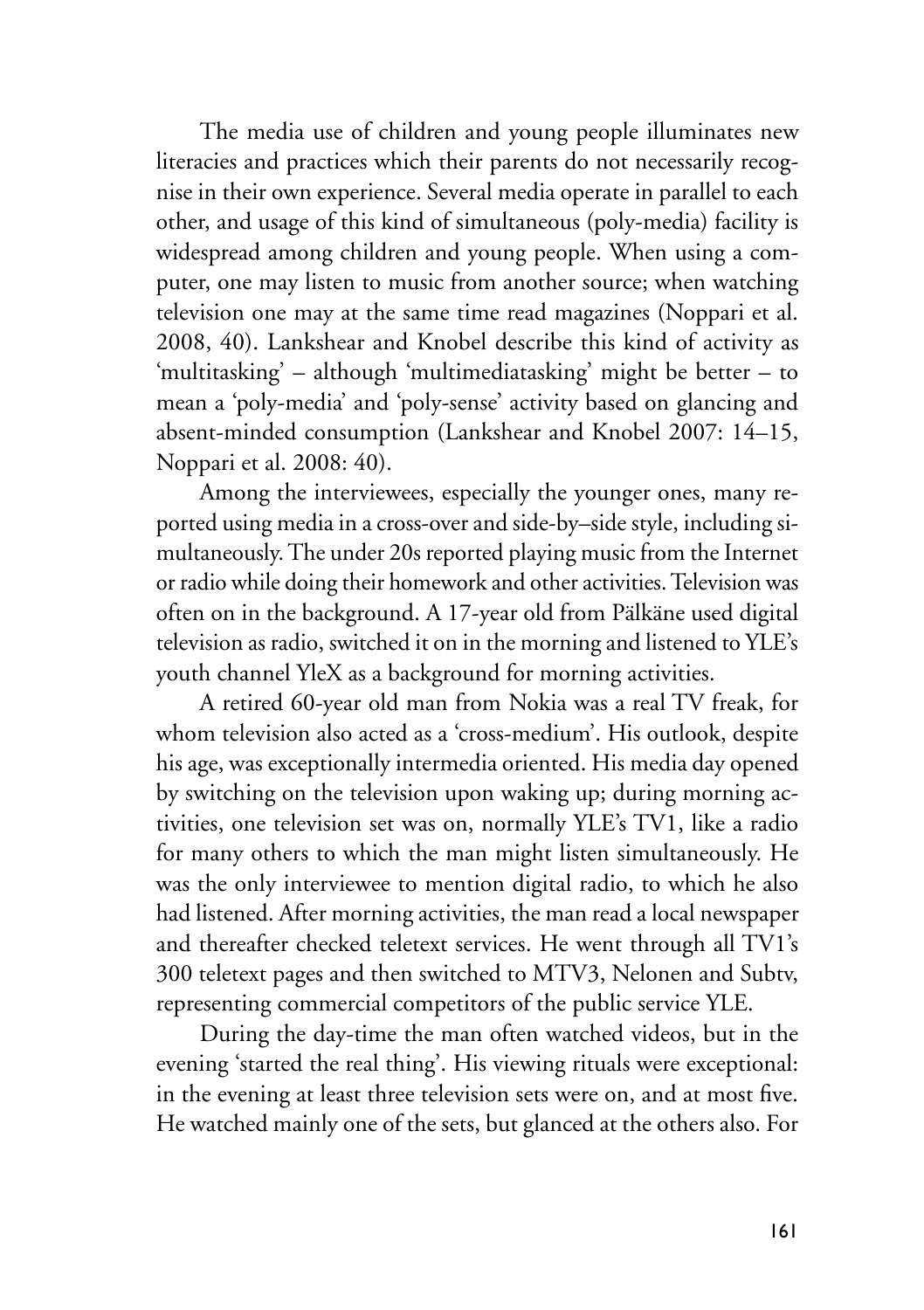The media use of children and young people illuminates new literacies and practices which their parents do not necessarily recognise in their own experience. Several media operate in parallel to each other, and usage of this kind of simultaneous (poly-media) facility is widespread among children and young people. When using a computer, one may listen to music from another source; when watching television one may at the same time read magazines (Noppari et al. 2008, 40). Lankshear and Knobel describe this kind of activity as 'multitasking' – although 'multimediatasking' might be better – to mean a 'poly-media' and 'poly-sense' activity based on glancing and absent-minded consumption (Lankshear and Knobel 2007: 14–15, Noppari et al. 2008: 40).

Among the interviewees, especially the younger ones, many reported using media in a cross-over and side-by–side style, including simultaneously. The under 20s reported playing music from the Internet or radio while doing their homework and other activities. Television was often on in the background. A 17-year old from Pälkäne used digital television as radio, switched it on in the morning and listened to YLE's youth channel YleX as a background for morning activities.

A retired 60-year old man from Nokia was a real TV freak, for whom television also acted as a 'cross-medium'. His outlook, despite his age, was exceptionally intermedia oriented. His media day opened by switching on the television upon waking up; during morning activities, one television set was on, normally YLE's TV1, like a radio for many others to which the man might listen simultaneously. He was the only interviewee to mention digital radio, to which he also had listened. After morning activities, the man read a local newspaper and thereafter checked teletext services. He went through all TV1's 300 teletext pages and then switched to MTV3, Nelonen and Subtv, representing commercial competitors of the public service YLE.

During the day-time the man often watched videos, but in the evening 'started the real thing'. His viewing rituals were exceptional: in the evening at least three television sets were on, and at most five. He watched mainly one of the sets, but glanced at the others also. For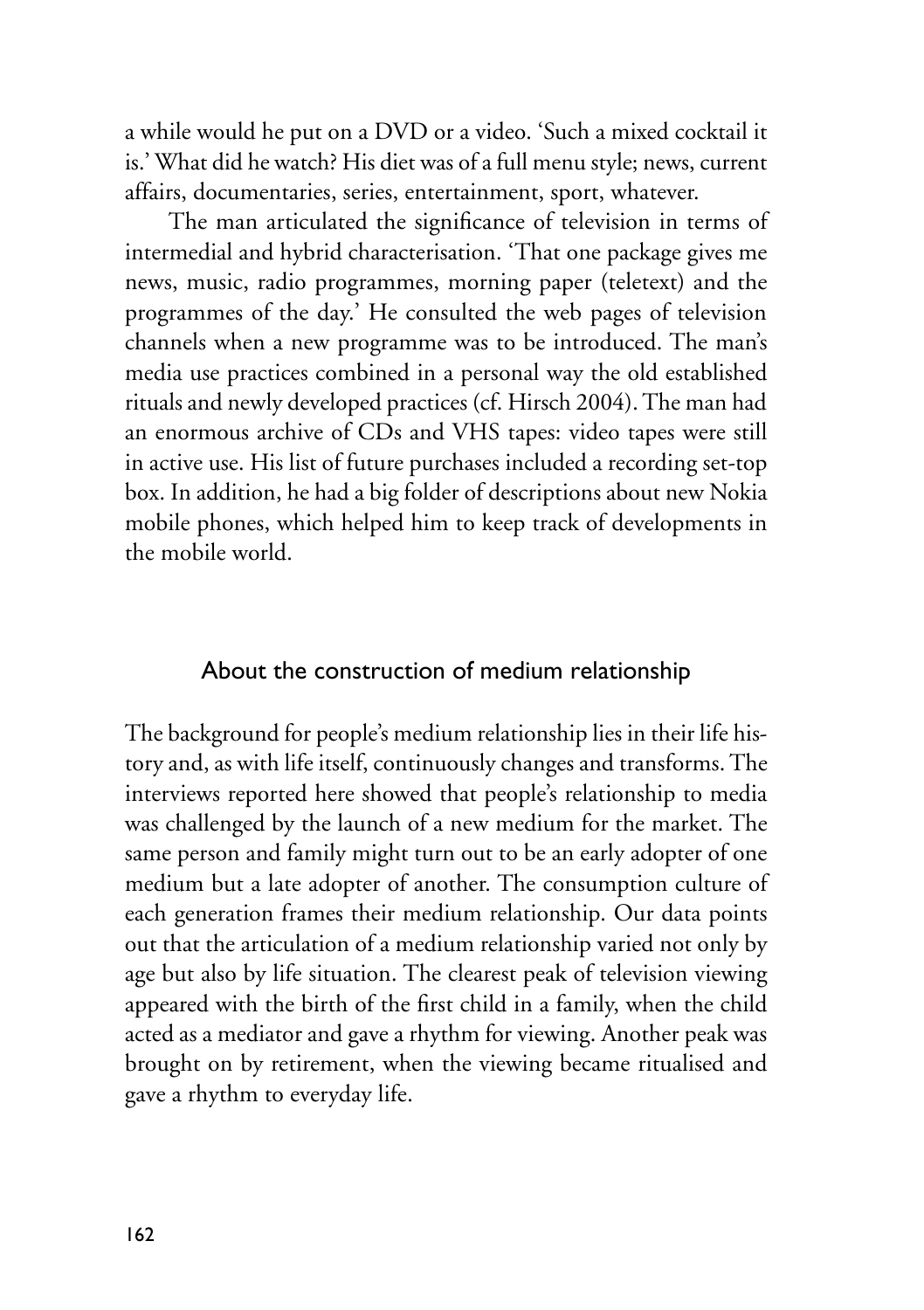a while would he put on a DVD or a video. 'Such a mixed cocktail it is.' What did he watch? His diet was of a full menu style; news, current affairs, documentaries, series, entertainment, sport, whatever.

The man articulated the significance of television in terms of intermedial and hybrid characterisation. 'That one package gives me news, music, radio programmes, morning paper (teletext) and the programmes of the day.' He consulted the web pages of television channels when a new programme was to be introduced. The man's media use practices combined in a personal way the old established rituals and newly developed practices (cf. Hirsch 2004). The man had an enormous archive of CDs and VHS tapes: video tapes were still in active use. His list of future purchases included a recording set-top box. In addition, he had a big folder of descriptions about new Nokia mobile phones, which helped him to keep track of developments in the mobile world.

# About the construction of medium relationship

The background for people's medium relationship lies in their life history and, as with life itself, continuously changes and transforms. The interviews reported here showed that people's relationship to media was challenged by the launch of a new medium for the market. The same person and family might turn out to be an early adopter of one medium but a late adopter of another. The consumption culture of each generation frames their medium relationship. Our data points out that the articulation of a medium relationship varied not only by age but also by life situation. The clearest peak of television viewing appeared with the birth of the first child in a family, when the child acted as a mediator and gave a rhythm for viewing. Another peak was brought on by retirement, when the viewing became ritualised and gave a rhythm to everyday life.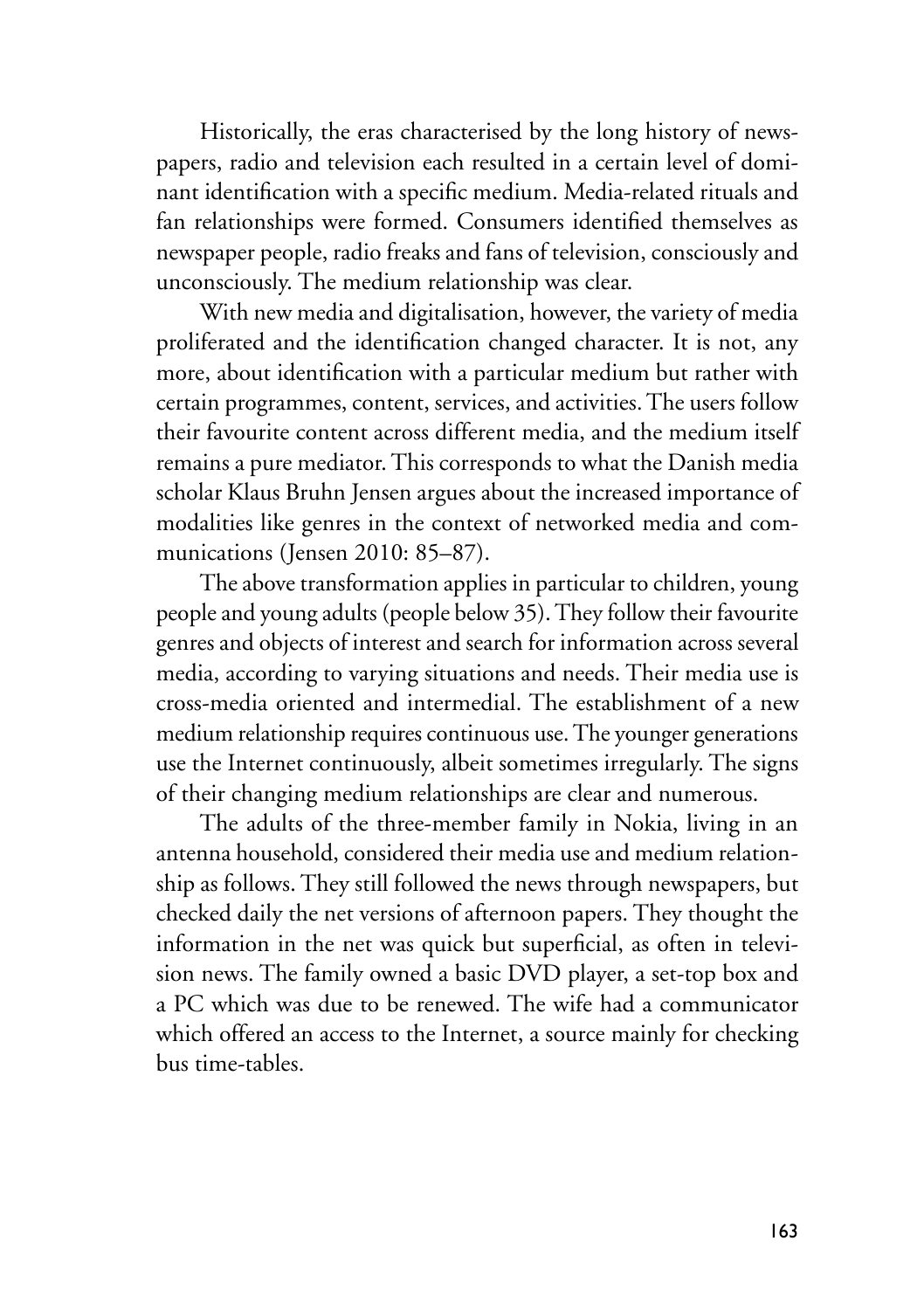Historically, the eras characterised by the long history of newspapers, radio and television each resulted in a certain level of dominant identification with a specific medium. Media-related rituals and fan relationships were formed. Consumers identified themselves as newspaper people, radio freaks and fans of television, consciously and unconsciously. The medium relationship was clear.

With new media and digitalisation, however, the variety of media proliferated and the identification changed character. It is not, any more, about identification with a particular medium but rather with certain programmes, content, services, and activities. The users follow their favourite content across different media, and the medium itself remains a pure mediator. This corresponds to what the Danish media scholar Klaus Bruhn Jensen argues about the increased importance of modalities like genres in the context of networked media and communications (Jensen 2010: 85–87).

The above transformation applies in particular to children, young people and young adults (people below 35). They follow their favourite genres and objects of interest and search for information across several media, according to varying situations and needs. Their media use is cross-media oriented and intermedial. The establishment of a new medium relationship requires continuous use. The younger generations use the Internet continuously, albeit sometimes irregularly. The signs of their changing medium relationships are clear and numerous.

The adults of the three-member family in Nokia, living in an antenna household, considered their media use and medium relationship as follows. They still followed the news through newspapers, but checked daily the net versions of afternoon papers. They thought the information in the net was quick but superficial, as often in television news. The family owned a basic DVD player, a set-top box and a PC which was due to be renewed. The wife had a communicator which offered an access to the Internet, a source mainly for checking bus time-tables.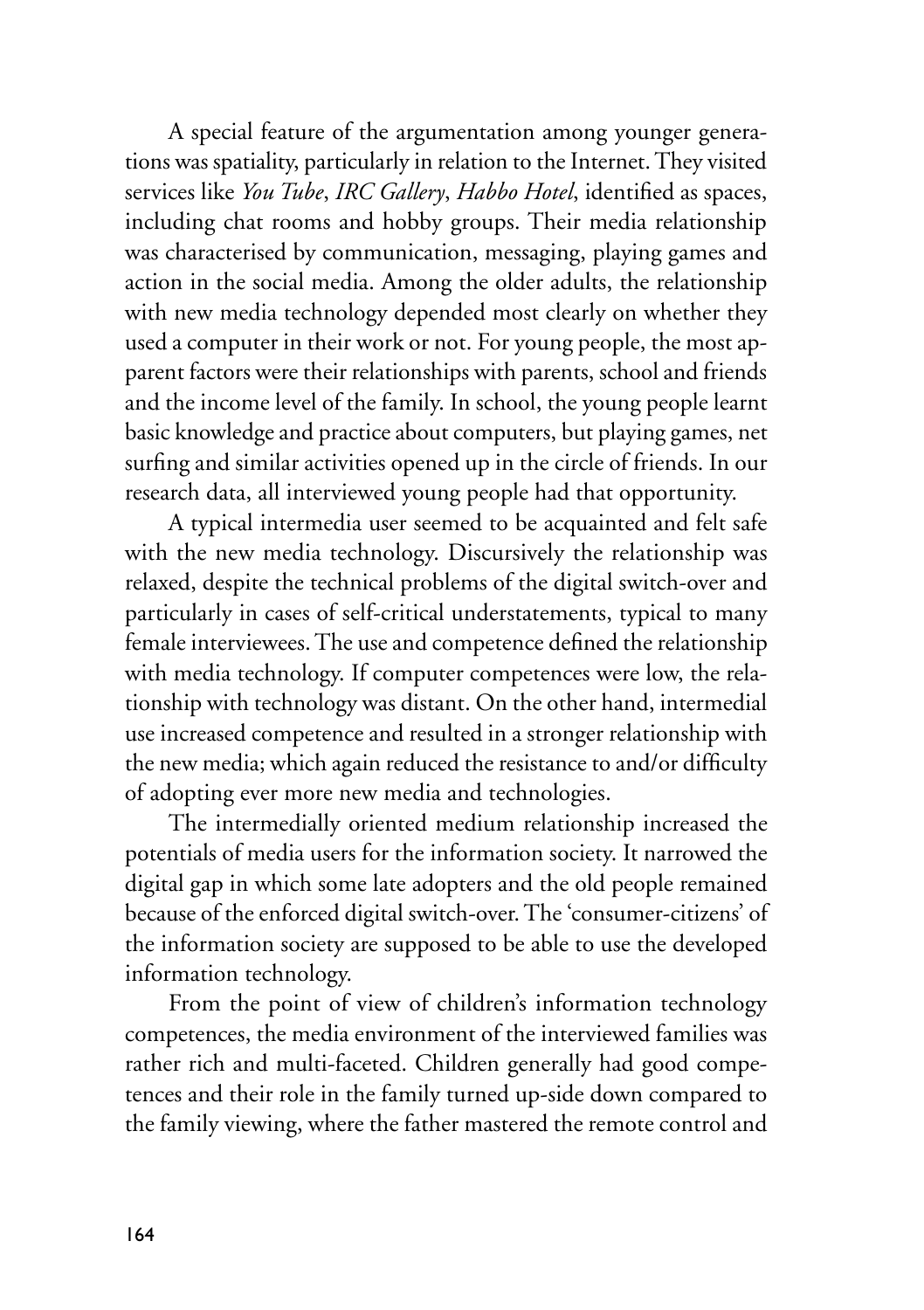A special feature of the argumentation among younger generations was spatiality, particularly in relation to the Internet. They visited services like *You Tube*, *IRC Gallery*, *Habbo Hotel*, identified as spaces, including chat rooms and hobby groups. Their media relationship was characterised by communication, messaging, playing games and action in the social media. Among the older adults, the relationship with new media technology depended most clearly on whether they used a computer in their work or not. For young people, the most apparent factors were their relationships with parents, school and friends and the income level of the family. In school, the young people learnt basic knowledge and practice about computers, but playing games, net surfing and similar activities opened up in the circle of friends. In our research data, all interviewed young people had that opportunity.

A typical intermedia user seemed to be acquainted and felt safe with the new media technology. Discursively the relationship was relaxed, despite the technical problems of the digital switch-over and particularly in cases of self-critical understatements, typical to many female interviewees. The use and competence defined the relationship with media technology. If computer competences were low, the relationship with technology was distant. On the other hand, intermedial use increased competence and resulted in a stronger relationship with the new media; which again reduced the resistance to and/or difficulty of adopting ever more new media and technologies.

The intermedially oriented medium relationship increased the potentials of media users for the information society. It narrowed the digital gap in which some late adopters and the old people remained because of the enforced digital switch-over. The 'consumer-citizens' of the information society are supposed to be able to use the developed information technology.

From the point of view of children's information technology competences, the media environment of the interviewed families was rather rich and multi-faceted. Children generally had good competences and their role in the family turned up-side down compared to the family viewing, where the father mastered the remote control and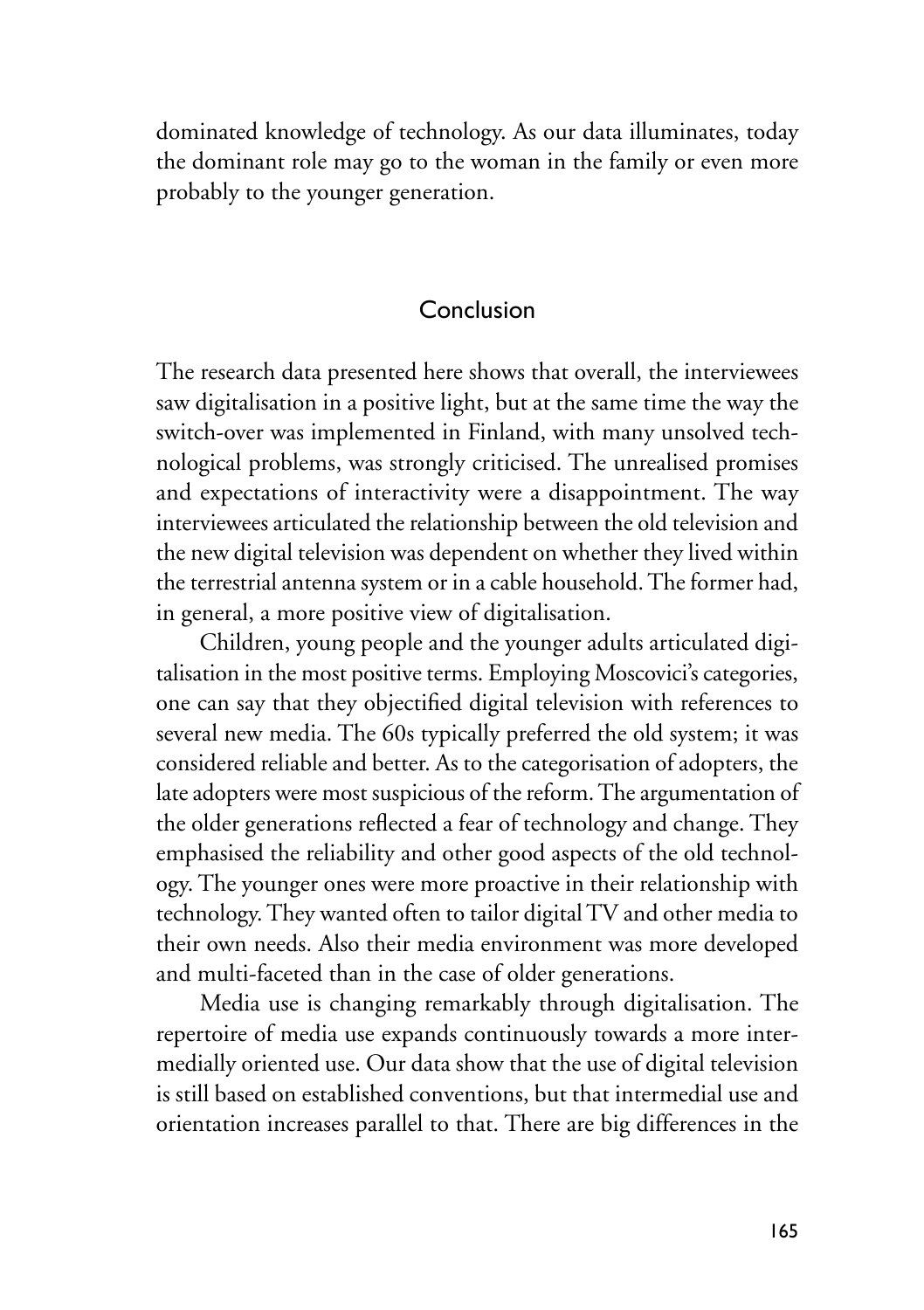dominated knowledge of technology. As our data illuminates, today the dominant role may go to the woman in the family or even more probably to the younger generation.

# Conclusion

The research data presented here shows that overall, the interviewees saw digitalisation in a positive light, but at the same time the way the switch-over was implemented in Finland, with many unsolved technological problems, was strongly criticised. The unrealised promises and expectations of interactivity were a disappointment. The way interviewees articulated the relationship between the old television and the new digital television was dependent on whether they lived within the terrestrial antenna system or in a cable household. The former had, in general, a more positive view of digitalisation.

Children, young people and the younger adults articulated digitalisation in the most positive terms. Employing Moscovici's categories, one can say that they objectified digital television with references to several new media. The 60s typically preferred the old system; it was considered reliable and better. As to the categorisation of adopters, the late adopters were most suspicious of the reform. The argumentation of the older generations reflected a fear of technology and change. They emphasised the reliability and other good aspects of the old technology. The younger ones were more proactive in their relationship with technology. They wanted often to tailor digital TV and other media to their own needs. Also their media environment was more developed and multi-faceted than in the case of older generations.

Media use is changing remarkably through digitalisation. The repertoire of media use expands continuously towards a more intermedially oriented use. Our data show that the use of digital television is still based on established conventions, but that intermedial use and orientation increases parallel to that. There are big differences in the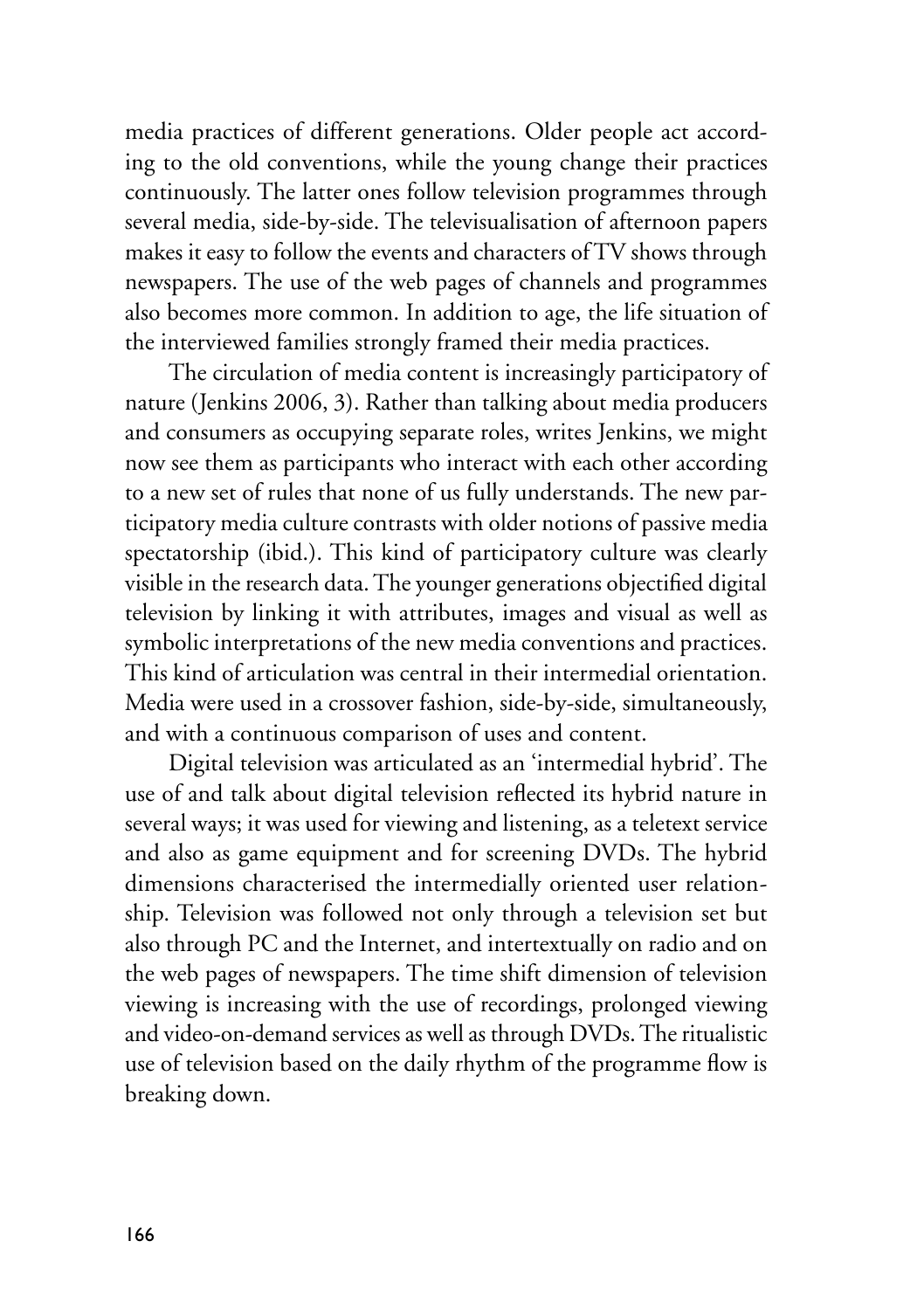media practices of different generations. Older people act according to the old conventions, while the young change their practices continuously. The latter ones follow television programmes through several media, side-by-side. The televisualisation of afternoon papers makes it easy to follow the events and characters of TV shows through newspapers. The use of the web pages of channels and programmes also becomes more common. In addition to age, the life situation of the interviewed families strongly framed their media practices.

The circulation of media content is increasingly participatory of nature (Jenkins 2006, 3). Rather than talking about media producers and consumers as occupying separate roles, writes Jenkins, we might now see them as participants who interact with each other according to a new set of rules that none of us fully understands. The new participatory media culture contrasts with older notions of passive media spectatorship (ibid.). This kind of participatory culture was clearly visible in the research data. The younger generations objectified digital television by linking it with attributes, images and visual as well as symbolic interpretations of the new media conventions and practices. This kind of articulation was central in their intermedial orientation. Media were used in a crossover fashion, side-by-side, simultaneously, and with a continuous comparison of uses and content.

Digital television was articulated as an 'intermedial hybrid'. The use of and talk about digital television reflected its hybrid nature in several ways; it was used for viewing and listening, as a teletext service and also as game equipment and for screening DVDs. The hybrid dimensions characterised the intermedially oriented user relationship. Television was followed not only through a television set but also through PC and the Internet, and intertextually on radio and on the web pages of newspapers. The time shift dimension of television viewing is increasing with the use of recordings, prolonged viewing and video-on-demand services as well as through DVDs. The ritualistic use of television based on the daily rhythm of the programme flow is breaking down.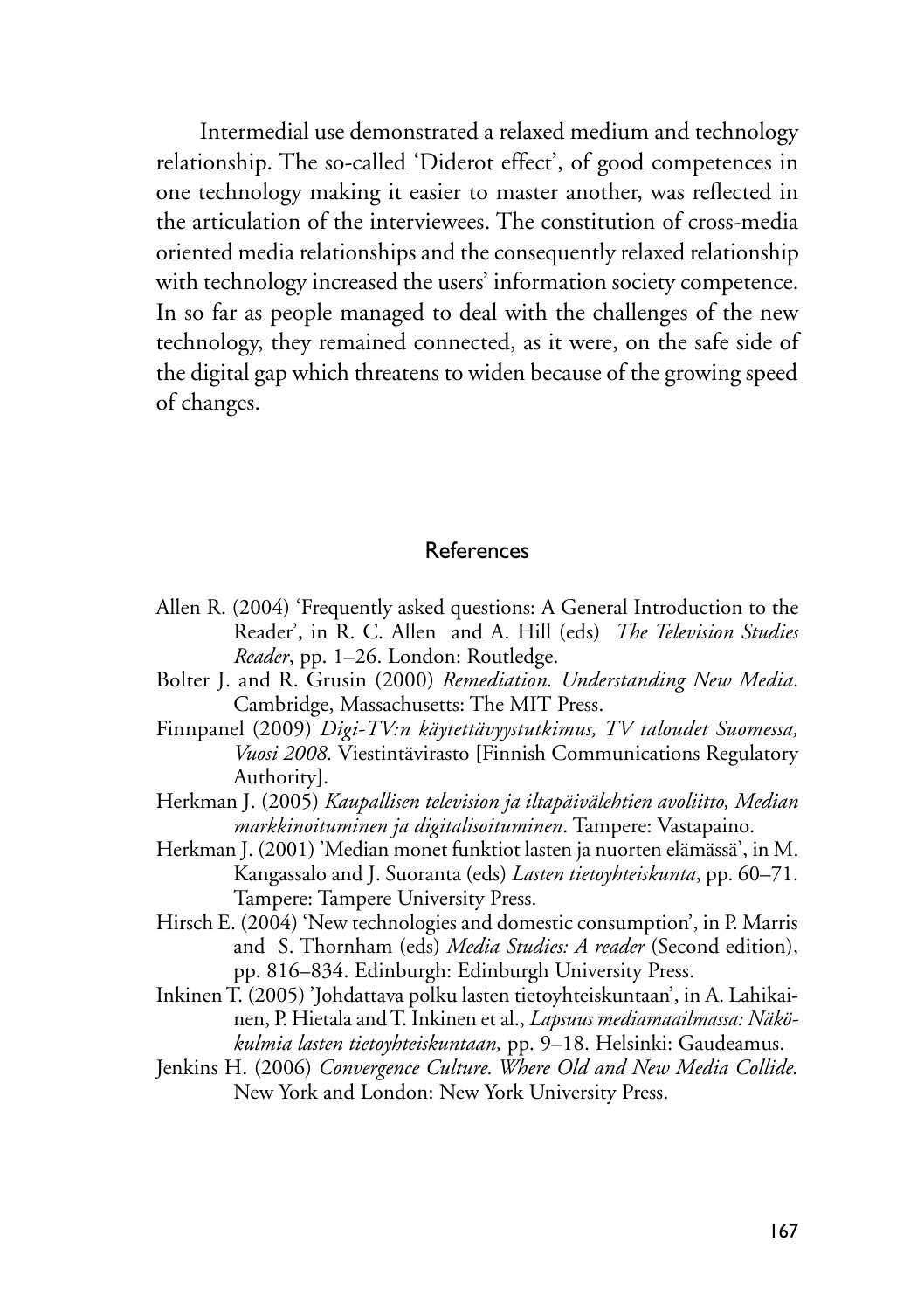Intermedial use demonstrated a relaxed medium and technology relationship. The so-called 'Diderot effect', of good competences in one technology making it easier to master another, was reflected in the articulation of the interviewees. The constitution of cross-media oriented media relationships and the consequently relaxed relationship with technology increased the users' information society competence. In so far as people managed to deal with the challenges of the new technology, they remained connected, as it were, on the safe side of the digital gap which threatens to widen because of the growing speed of changes.

#### References

- Allen R. (2004) 'Frequently asked questions: A General Introduction to the Reader', in R. C. Allen and A. Hill (eds) *The Television Studies Reader*, pp. 1–26. London: Routledge.
- Bolter J. and R. Grusin (2000) *Remediation. Understanding New Media*. Cambridge, Massachusetts: The MIT Press.
- Finnpanel (2009) *Digi-TV:n käytettävyystutkimus, TV taloudet Suomessa, Vuosi 2008.* Viestintävirasto [Finnish Communications Regulatory Authority].
- Herkman J. (2005) *Kaupallisen television ja iltapäivälehtien avoliitto, Median markkinoituminen ja digitalisoituminen*. Tampere: Vastapaino.
- Herkman J. (2001) 'Median monet funktiot lasten ja nuorten elämässä', in M. Kangassalo and J. Suoranta (eds) *Lasten tietoyhteiskunta*, pp. 60–71. Tampere: Tampere University Press.
- Hirsch E. (2004) 'New technologies and domestic consumption', in P. Marris and S. Thornham (eds) *Media Studies: A reader* (Second edition), pp. 816–834. Edinburgh: Edinburgh University Press.
- Inkinen T. (2005) 'Johdattava polku lasten tietoyhteiskuntaan', in A. Lahikainen, P. Hietala and T. Inkinen et al., *Lapsuus mediamaailmassa: Näkökulmia lasten tietoyhteiskuntaan,* pp. 9–18. Helsinki: Gaudeamus.
- Jenkins H. (2006) *Convergence Culture. Where Old and New Media Collide.* New York and London: New York University Press.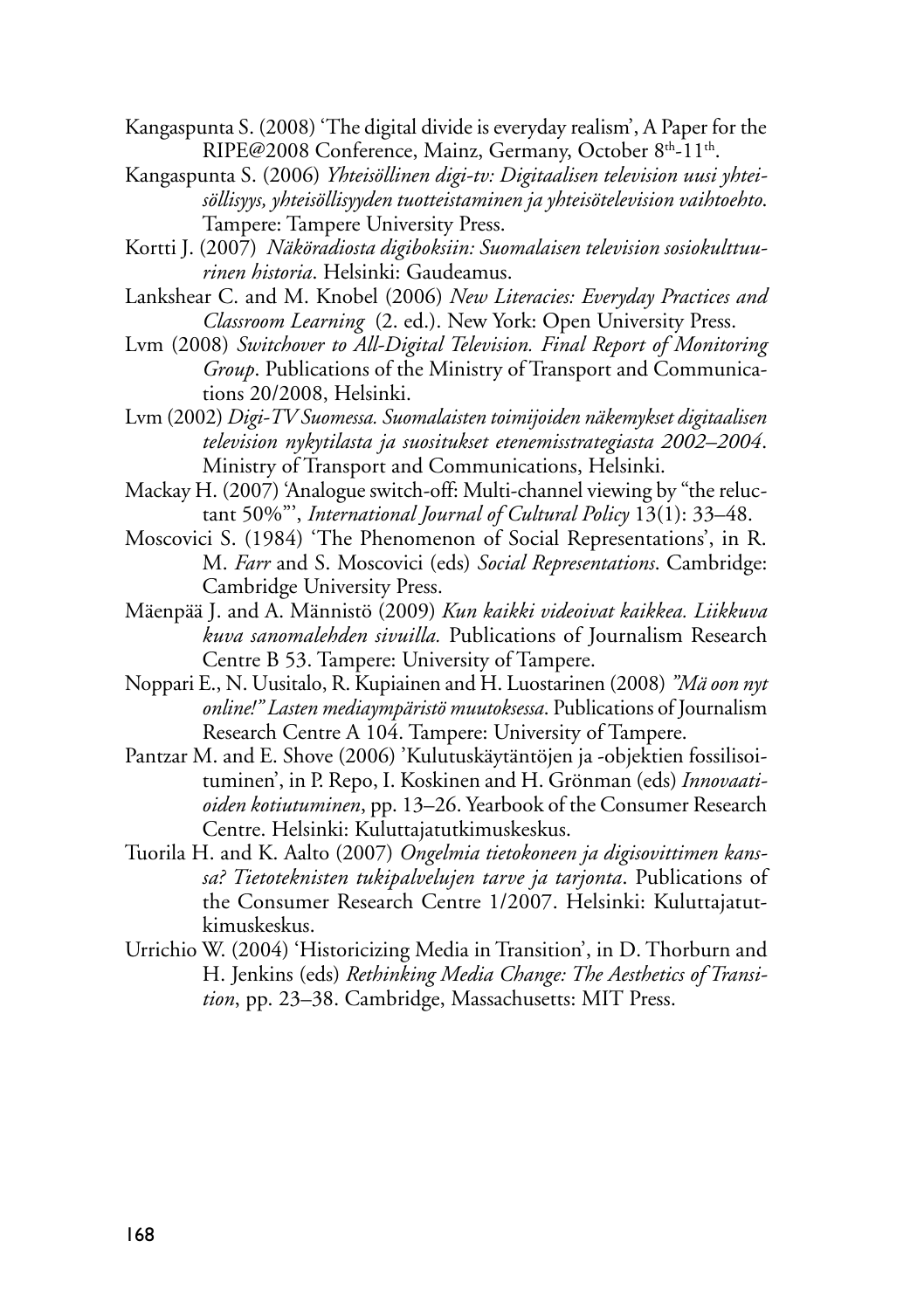- Kangaspunta S. (2008) 'The digital divide is everyday realism', A Paper for the RIPE@2008 Conference, Mainz, Germany, October 8<sup>th</sup>-11<sup>th</sup>.
- Kangaspunta S. (2006) *Yhteisöllinen digi-tv: Digitaalisen television uusi yhteisöllisyys, yhteisöllisyyden tuotteistaminen ja yhteisötelevision vaihtoehto*. Tampere: Tampere University Press.
- Kortti J. (2007) *Näköradiosta digiboksiin: Suomalaisen television sosiokulttuurinen historia*. Helsinki: Gaudeamus.
- Lankshear C. and M. Knobel (2006) *New Literacies: Everyday Practices and Classroom Learning* (2. ed.). New York: Open University Press.
- Lvm (2008) *Switchover to All-Digital Television. Final Report of Monitoring Group*. Publications of the Ministry of Transport and Communications 20/2008, Helsinki.
- Lvm (2002) *Digi-TV Suomessa. Suomalaisten toimijoiden näkemykset digitaalisen television nykytilasta ja suositukset etenemisstrategiasta 2002–2004*. Ministry of Transport and Communications, Helsinki.
- Mackay H. (2007) 'Analogue switch-off: Multi-channel viewing by "the reluctant 50%"', *International Journal of Cultural Policy* 13(1): 33–48.
- Moscovici S. (1984) 'The Phenomenon of Social Representations', in R. M. *Farr* and S. Moscovici (eds) *Social Representations*. Cambridge: Cambridge University Press.
- Mäenpää J. and A. Männistö (2009) *Kun kaikki videoivat kaikkea. Liikkuva kuva sanomalehden sivuilla.* Publications of Journalism Research Centre B 53. Tampere: University of Tampere.
- Noppari E., N. Uusitalo, R. Kupiainen and H. Luostarinen (2008) *"Mä oon nyt online!" Lasten mediaympäristö muutoksessa*. Publications of Journalism Research Centre A 104. Tampere: University of Tampere.
- Pantzar M. and E. Shove (2006) 'Kulutuskäytäntöjen ja -objektien fossilisoituminen', in P. Repo, I. Koskinen and H. Grönman (eds) *Innovaatioiden kotiutuminen*, pp. 13–26. Yearbook of the Consumer Research Centre. Helsinki: Kuluttajatutkimuskeskus.
- Tuorila H. and K. Aalto (2007) *Ongelmia tietokoneen ja digisovittimen kanssa? Tietoteknisten tukipalvelujen tarve ja tarjonta*. Publications of the Consumer Research Centre 1/2007. Helsinki: Kuluttajatutkimuskeskus.
- Urrichio W. (2004) 'Historicizing Media in Transition', in D. Thorburn and H. Jenkins (eds) *Rethinking Media Change: The Aesthetics of Transition*, pp. 23–38. Cambridge, Massachusetts: MIT Press.